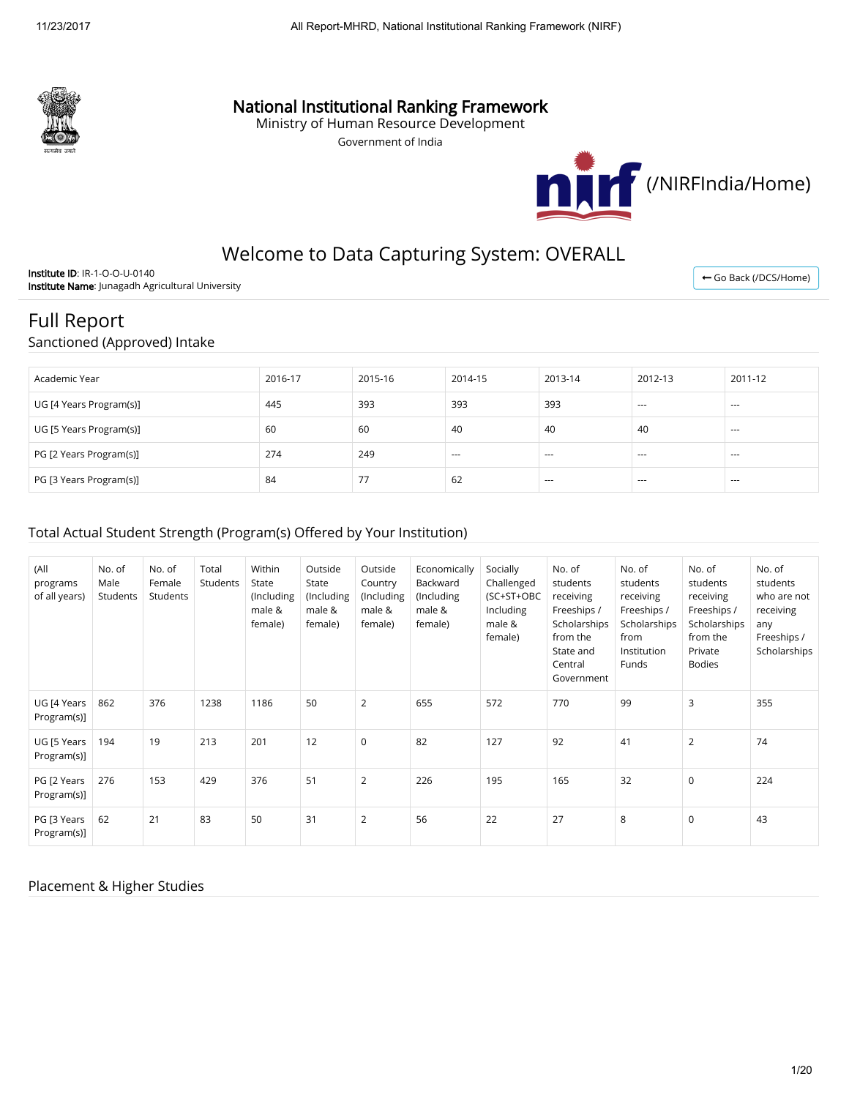

## National Institutional Ranking Framework

Ministry of Human Resource Development

Government of India



## Welcome to Data Capturing System: OVERALL

Institute ID: IR-1-O-O-U-0140 Institute Name: Junagadh Agricultural University

← [Go Back \(/DCS/Home\)](http://nirfweb.cloudapp.net/DCS/Home)

# Full Report

Sanctioned (Approved) Intake

| Academic Year           | 2016-17 | 2015-16        | 2014-15 | 2013-14 | 2012-13 | 2011-12 |
|-------------------------|---------|----------------|---------|---------|---------|---------|
| UG [4 Years Program(s)] | 445     | 393            | 393     | 393     | $- - -$ | $- - -$ |
| UG [5 Years Program(s)] | 60      | 60             | 40      | 40      | 40      | $- - -$ |
| PG [2 Years Program(s)] | 274     | 249            | $--$    | $---$   | $- - -$ | $- - -$ |
| PG [3 Years Program(s)] | 84      | 77<br>$\prime$ | 62      | $---$   | $---$   | $- - -$ |

#### Total Actual Student Strength (Program(s) Offered by Your Institution)

| (All<br>programs<br>of all years) | No. of<br>Male<br>Students | No. of<br>Female<br>Students | Total<br>Students | Within<br>State<br>(Including<br>male &<br>female) | Outside<br>State<br>(Including<br>male &<br>female) | Outside<br>Country<br>(Including<br>male &<br>female) | Economically<br>Backward<br>(Including<br>male &<br>female) | Socially<br>Challenged<br>(SC+ST+OBC<br>Including<br>male &<br>female) | No. of<br>students<br>receiving<br>Freeships /<br>Scholarships<br>from the<br>State and<br>Central<br>Government | No. of<br>students<br>receiving<br>Freeships /<br>Scholarships<br>from<br>Institution<br>Funds | No. of<br>students<br>receiving<br>Freeships /<br>Scholarships<br>from the<br>Private<br><b>Bodies</b> | No. of<br>students<br>who are not<br>receiving<br>any<br>Freeships /<br>Scholarships |
|-----------------------------------|----------------------------|------------------------------|-------------------|----------------------------------------------------|-----------------------------------------------------|-------------------------------------------------------|-------------------------------------------------------------|------------------------------------------------------------------------|------------------------------------------------------------------------------------------------------------------|------------------------------------------------------------------------------------------------|--------------------------------------------------------------------------------------------------------|--------------------------------------------------------------------------------------|
| UG [4 Years<br>Program(s)]        | 862                        | 376                          | 1238              | 1186                                               | 50                                                  | 2                                                     | 655                                                         | 572                                                                    | 770                                                                                                              | 99                                                                                             | 3                                                                                                      | 355                                                                                  |
| UG [5 Years<br>Program(s)]        | 194                        | 19                           | 213               | 201                                                | 12                                                  | $\mathbf 0$                                           | 82                                                          | 127                                                                    | 92                                                                                                               | 41                                                                                             | $\overline{2}$                                                                                         | 74                                                                                   |
| PG [2 Years<br>Program(s)]        | 276                        | 153                          | 429               | 376                                                | 51                                                  | 2                                                     | 226                                                         | 195                                                                    | 165                                                                                                              | 32                                                                                             | $\mathbf 0$                                                                                            | 224                                                                                  |
| PG [3 Years<br>Program(s)]        | 62                         | 21                           | 83                | 50                                                 | 31                                                  | $\overline{2}$                                        | 56                                                          | 22                                                                     | 27                                                                                                               | 8                                                                                              | $\mathbf 0$                                                                                            | 43                                                                                   |

#### Placement & Higher Studies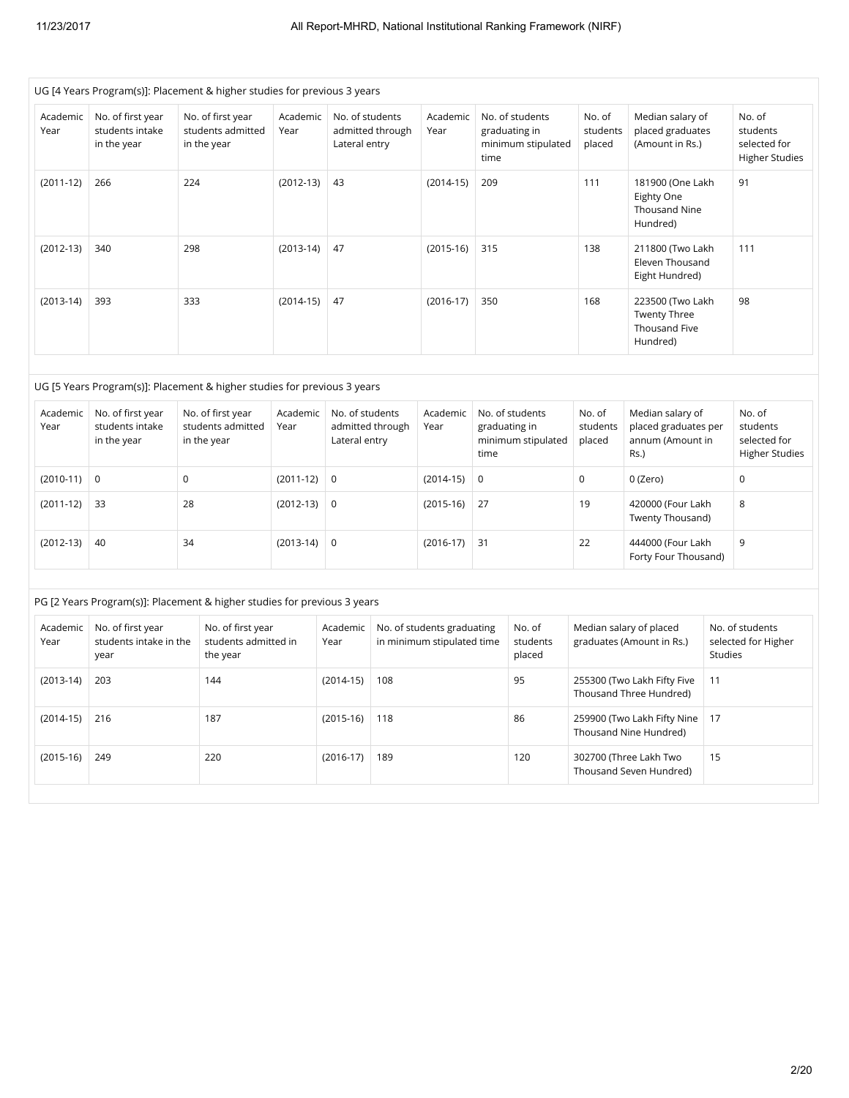|                  | UG [4 Years Program(s)]: Placement & higher studies for previous 3 years |     |                                                       |                  |                                  |                  |                                                          |             |                                                        |                              |                                                                      |         |                                                             |
|------------------|--------------------------------------------------------------------------|-----|-------------------------------------------------------|------------------|----------------------------------|------------------|----------------------------------------------------------|-------------|--------------------------------------------------------|------------------------------|----------------------------------------------------------------------|---------|-------------------------------------------------------------|
| Academic<br>Year | No. of first year<br>students intake<br>in the year                      |     | No. of first year<br>students admitted<br>in the year | Academic<br>Year | No. of students<br>Lateral entry | admitted through | Academic<br>Year                                         | time        | No. of students<br>graduating in<br>minimum stipulated | No. of<br>students<br>placed | Median salary of<br>placed graduates<br>(Amount in Rs.)              |         | No. of<br>students<br>selected for<br><b>Higher Studies</b> |
| $(2011-12)$      | 266                                                                      | 224 |                                                       | $(2012-13)$      | 43                               |                  | $(2014-15)$                                              | 209         |                                                        | 111                          | 181900 (One Lakh<br>Eighty One<br>Thousand Nine<br>Hundred)          |         | 91                                                          |
| $(2012 - 13)$    | 340                                                                      | 298 |                                                       | $(2013-14)$      | 47                               |                  | $(2015-16)$                                              | 315         |                                                        | 138                          | 211800 (Two Lakh<br>Eleven Thousand<br>Eight Hundred)                |         | 111                                                         |
| $(2013-14)$      | 393                                                                      | 333 |                                                       | $(2014-15)$      | 47                               |                  | $(2016-17)$                                              | 350         |                                                        | 168                          | 223500 (Two Lakh<br><b>Twenty Three</b><br>Thousand Five<br>Hundred) |         | 98                                                          |
|                  |                                                                          |     |                                                       |                  |                                  |                  |                                                          |             |                                                        |                              |                                                                      |         |                                                             |
|                  | UG [5 Years Program(s)]: Placement & higher studies for previous 3 years |     |                                                       |                  |                                  |                  |                                                          |             |                                                        |                              |                                                                      |         |                                                             |
| Academic<br>Year | No. of first year<br>students intake<br>in the year                      |     | No. of first year<br>students admitted<br>in the year | Academic<br>Year | No. of students<br>Lateral entry | admitted through | Academic<br>Year                                         | time        | No. of students<br>graduating in<br>minimum stipulated | No. of<br>students<br>placed | Median salary of<br>placed graduates per<br>annum (Amount in<br>Rs.) |         | No. of<br>students<br>selected for<br><b>Higher Studies</b> |
| $(2010-11)$      | $\mathbf 0$                                                              | 0   |                                                       | $(2011-12)$      | $\mathbf 0$                      |                  | $(2014-15)$                                              | $\mathbf 0$ |                                                        | $\mathbf 0$                  | 0 (Zero)                                                             |         | $\mathsf 0$                                                 |
| $(2011-12)$      | 33                                                                       | 28  |                                                       | $(2012-13)$      | 0                                |                  | $(2015-16)$                                              | 27          |                                                        | 19                           | 420000 (Four Lakh<br>Twenty Thousand)                                |         | 8                                                           |
| $(2012-13)$      | 40                                                                       | 34  |                                                       | $(2013-14)$      | $\mathsf 0$                      |                  | $(2016-17)$                                              | 31          |                                                        | 22                           | 444000 (Four Lakh<br>Forty Four Thousand)                            |         | 9                                                           |
|                  |                                                                          |     |                                                       |                  |                                  |                  |                                                          |             |                                                        |                              |                                                                      |         |                                                             |
|                  | PG [2 Years Program(s)]: Placement & higher studies for previous 3 years |     |                                                       |                  |                                  |                  |                                                          |             |                                                        |                              |                                                                      |         |                                                             |
| Academic<br>Year | No. of first year<br>students intake in the<br>year                      |     | No. of first year<br>students admitted in<br>the year |                  | Academic<br>Year                 |                  | No. of students graduating<br>in minimum stipulated time |             | No. of<br>students<br>placed                           | Median salary of placed      | graduates (Amount in Rs.)                                            | Studies | No. of students<br>selected for Higher                      |
| $(2013-14)$      | 203                                                                      |     | 144                                                   |                  | $(2014-15)$                      | 108              |                                                          |             | 95                                                     |                              | 255300 (Two Lakh Fifty Five<br>Thousand Three Hundred)               | 11      |                                                             |
| $(2014-15)$      | 216                                                                      |     | 187                                                   |                  | $(2015-16)$                      | 118              |                                                          |             | 86                                                     |                              | 17<br>259900 (Two Lakh Fifty Nine<br>Thousand Nine Hundred)          |         |                                                             |
| $(2015-16)$      | 249                                                                      |     | 220                                                   |                  | $(2016-17)$                      | 189              |                                                          |             | 120                                                    |                              | 302700 (Three Lakh Two<br>Thousand Seven Hundred)                    | 15      |                                                             |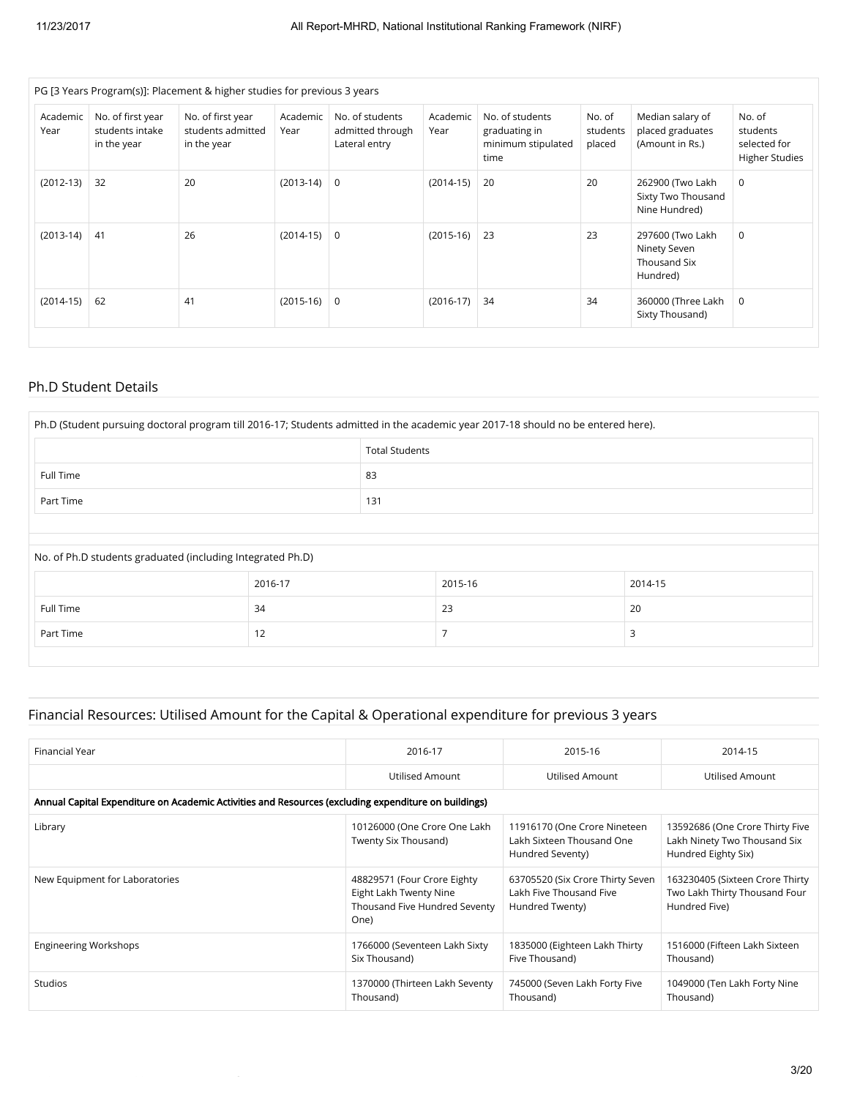|                  |                                                     | PG [3 Years Program(s)]: Placement & higher studies for previous 3 years |                  |                                                      |                  |                                                                |                              |                                                              |                                                             |
|------------------|-----------------------------------------------------|--------------------------------------------------------------------------|------------------|------------------------------------------------------|------------------|----------------------------------------------------------------|------------------------------|--------------------------------------------------------------|-------------------------------------------------------------|
| Academic<br>Year | No. of first year<br>students intake<br>in the year | No. of first year<br>students admitted<br>in the year                    | Academic<br>Year | No. of students<br>admitted through<br>Lateral entry | Academic<br>Year | No. of students<br>graduating in<br>minimum stipulated<br>time | No. of<br>students<br>placed | Median salary of<br>placed graduates<br>(Amount in Rs.)      | No. of<br>students<br>selected for<br><b>Higher Studies</b> |
| $(2012-13)$      | 32                                                  | 20                                                                       | $(2013-14)$      | $\mathbf 0$                                          | $(2014-15)$      | 20                                                             | 20                           | 262900 (Two Lakh<br>Sixty Two Thousand<br>Nine Hundred)      | $\mathbf 0$                                                 |
| $(2013-14)$      | 41                                                  | 26                                                                       | $(2014-15)$      | $\mathbf 0$                                          | $(2015-16)$      | 23                                                             | 23                           | 297600 (Two Lakh<br>Ninety Seven<br>Thousand Six<br>Hundred) | $\mathbf 0$                                                 |
| $(2014-15)$      | 62                                                  | 41                                                                       | $(2015-16)$      | $\mathbf 0$                                          | $(2016-17)$      | 34                                                             | 34                           | 360000 (Three Lakh<br>Sixty Thousand)                        | 0                                                           |

#### Ph.D Student Details

| Ph.D (Student pursuing doctoral program till 2016-17; Students admitted in the academic year 2017-18 should no be entered here). |                |     |         |         |  |  |  |  |
|----------------------------------------------------------------------------------------------------------------------------------|----------------|-----|---------|---------|--|--|--|--|
| <b>Total Students</b>                                                                                                            |                |     |         |         |  |  |  |  |
| Full Time                                                                                                                        |                | 83  |         |         |  |  |  |  |
| Part Time                                                                                                                        |                | 131 |         |         |  |  |  |  |
|                                                                                                                                  |                |     |         |         |  |  |  |  |
| No. of Ph.D students graduated (including Integrated Ph.D)                                                                       |                |     |         |         |  |  |  |  |
|                                                                                                                                  | 2016-17        |     | 2015-16 | 2014-15 |  |  |  |  |
| Full Time                                                                                                                        | 23<br>20<br>34 |     |         |         |  |  |  |  |
| Part Time                                                                                                                        | 12             |     |         | 3       |  |  |  |  |
|                                                                                                                                  |                |     |         |         |  |  |  |  |

## Financial Resources: Utilised Amount for the Capital & Operational expenditure for previous 3 years

| Financial Year                                                                                       | 2016-17                                                                                        | 2015-16                                                                        | 2014-15                                                                                |  |  |  |  |  |
|------------------------------------------------------------------------------------------------------|------------------------------------------------------------------------------------------------|--------------------------------------------------------------------------------|----------------------------------------------------------------------------------------|--|--|--|--|--|
|                                                                                                      | Utilised Amount                                                                                | Utilised Amount                                                                | Utilised Amount                                                                        |  |  |  |  |  |
| Annual Capital Expenditure on Academic Activities and Resources (excluding expenditure on buildings) |                                                                                                |                                                                                |                                                                                        |  |  |  |  |  |
| Library                                                                                              | 10126000 (One Crore One Lakh<br>Twenty Six Thousand)                                           | 11916170 (One Crore Nineteen<br>Lakh Sixteen Thousand One<br>Hundred Seventy)  | 13592686 (One Crore Thirty Five<br>Lakh Ninety Two Thousand Six<br>Hundred Eighty Six) |  |  |  |  |  |
| New Equipment for Laboratories                                                                       | 48829571 (Four Crore Eighty<br>Eight Lakh Twenty Nine<br>Thousand Five Hundred Seventy<br>One) | 63705520 (Six Crore Thirty Seven<br>Lakh Five Thousand Five<br>Hundred Twenty) | 163230405 (Sixteen Crore Thirty<br>Two Lakh Thirty Thousand Four<br>Hundred Five)      |  |  |  |  |  |
| <b>Engineering Workshops</b>                                                                         | 1766000 (Seventeen Lakh Sixty<br>Six Thousand)                                                 | 1835000 (Eighteen Lakh Thirty<br>Five Thousand)                                | 1516000 (Fifteen Lakh Sixteen<br>Thousand)                                             |  |  |  |  |  |
| <b>Studios</b>                                                                                       | 1370000 (Thirteen Lakh Seventy<br>Thousand)                                                    | 745000 (Seven Lakh Forty Five<br>Thousand)                                     | 1049000 (Ten Lakh Forty Nine<br>Thousand)                                              |  |  |  |  |  |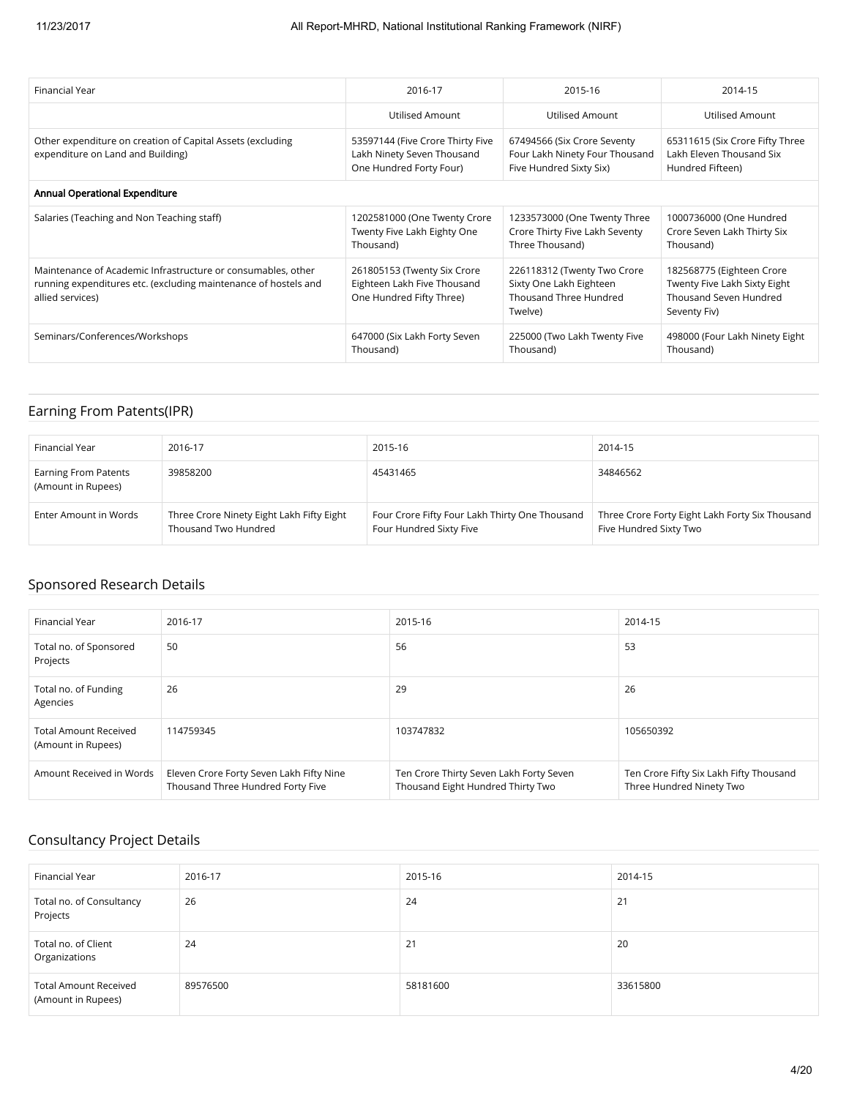| Financial Year                                                                                                                                      | 2016-17                                                                                   | 2015-16                                                                                     | 2014-15                                                                                             |
|-----------------------------------------------------------------------------------------------------------------------------------------------------|-------------------------------------------------------------------------------------------|---------------------------------------------------------------------------------------------|-----------------------------------------------------------------------------------------------------|
|                                                                                                                                                     | Utilised Amount                                                                           | Utilised Amount                                                                             | Utilised Amount                                                                                     |
| Other expenditure on creation of Capital Assets (excluding<br>expenditure on Land and Building)                                                     | 53597144 (Five Crore Thirty Five<br>Lakh Ninety Seven Thousand<br>One Hundred Forty Four) | 67494566 (Six Crore Seventy<br>Four Lakh Ninety Four Thousand<br>Five Hundred Sixty Six)    | 65311615 (Six Crore Fifty Three<br>Lakh Eleven Thousand Six<br>Hundred Fifteen)                     |
| Annual Operational Expenditure                                                                                                                      |                                                                                           |                                                                                             |                                                                                                     |
| Salaries (Teaching and Non Teaching staff)                                                                                                          | 1202581000 (One Twenty Crore<br>Twenty Five Lakh Eighty One<br>Thousand)                  | 1233573000 (One Twenty Three<br>Crore Thirty Five Lakh Seventy<br>Three Thousand)           | 1000736000 (One Hundred<br>Crore Seven Lakh Thirty Six<br>Thousand)                                 |
| Maintenance of Academic Infrastructure or consumables, other<br>running expenditures etc. (excluding maintenance of hostels and<br>allied services) | 261805153 (Twenty Six Crore<br>Eighteen Lakh Five Thousand<br>One Hundred Fifty Three)    | 226118312 (Twenty Two Crore<br>Sixty One Lakh Eighteen<br>Thousand Three Hundred<br>Twelve) | 182568775 (Eighteen Crore<br>Twenty Five Lakh Sixty Eight<br>Thousand Seven Hundred<br>Seventy Fiv) |
| Seminars/Conferences/Workshops                                                                                                                      | 647000 (Six Lakh Forty Seven<br>Thousand)                                                 | 225000 (Two Lakh Twenty Five<br>Thousand)                                                   | 498000 (Four Lakh Ninety Eight<br>Thousand)                                                         |

## Earning From Patents(IPR)

| Financial Year                                    | 2016-17                                                           | 2015-16                                                                   | 2014-15                                                                   |
|---------------------------------------------------|-------------------------------------------------------------------|---------------------------------------------------------------------------|---------------------------------------------------------------------------|
| <b>Earning From Patents</b><br>(Amount in Rupees) | 39858200                                                          | 45431465                                                                  | 34846562                                                                  |
| Enter Amount in Words                             | Three Crore Ninety Eight Lakh Fifty Eight<br>Thousand Two Hundred | Four Crore Fifty Four Lakh Thirty One Thousand<br>Four Hundred Sixty Five | Three Crore Forty Eight Lakh Forty Six Thousand<br>Five Hundred Sixty Two |

## Sponsored Research Details

| <b>Financial Year</b>                              | 2016-17                                                                       | 2015-16                                                                      | 2014-15                                                             |
|----------------------------------------------------|-------------------------------------------------------------------------------|------------------------------------------------------------------------------|---------------------------------------------------------------------|
| Total no. of Sponsored<br>Projects                 | 50                                                                            | 56                                                                           | 53                                                                  |
| Total no. of Funding<br>Agencies                   | 26                                                                            | 29                                                                           | 26                                                                  |
| <b>Total Amount Received</b><br>(Amount in Rupees) | 114759345                                                                     | 103747832                                                                    | 105650392                                                           |
| Amount Received in Words                           | Eleven Crore Forty Seven Lakh Fifty Nine<br>Thousand Three Hundred Forty Five | Ten Crore Thirty Seven Lakh Forty Seven<br>Thousand Eight Hundred Thirty Two | Ten Crore Fifty Six Lakh Fifty Thousand<br>Three Hundred Ninety Two |

## Consultancy Project Details

| Financial Year                                     | 2016-17  | 2015-16  | 2014-15  |
|----------------------------------------------------|----------|----------|----------|
| Total no. of Consultancy<br>Projects               | 26       | 24       | 21       |
| Total no. of Client<br>Organizations               | 24       | 21       | 20       |
| <b>Total Amount Received</b><br>(Amount in Rupees) | 89576500 | 58181600 | 33615800 |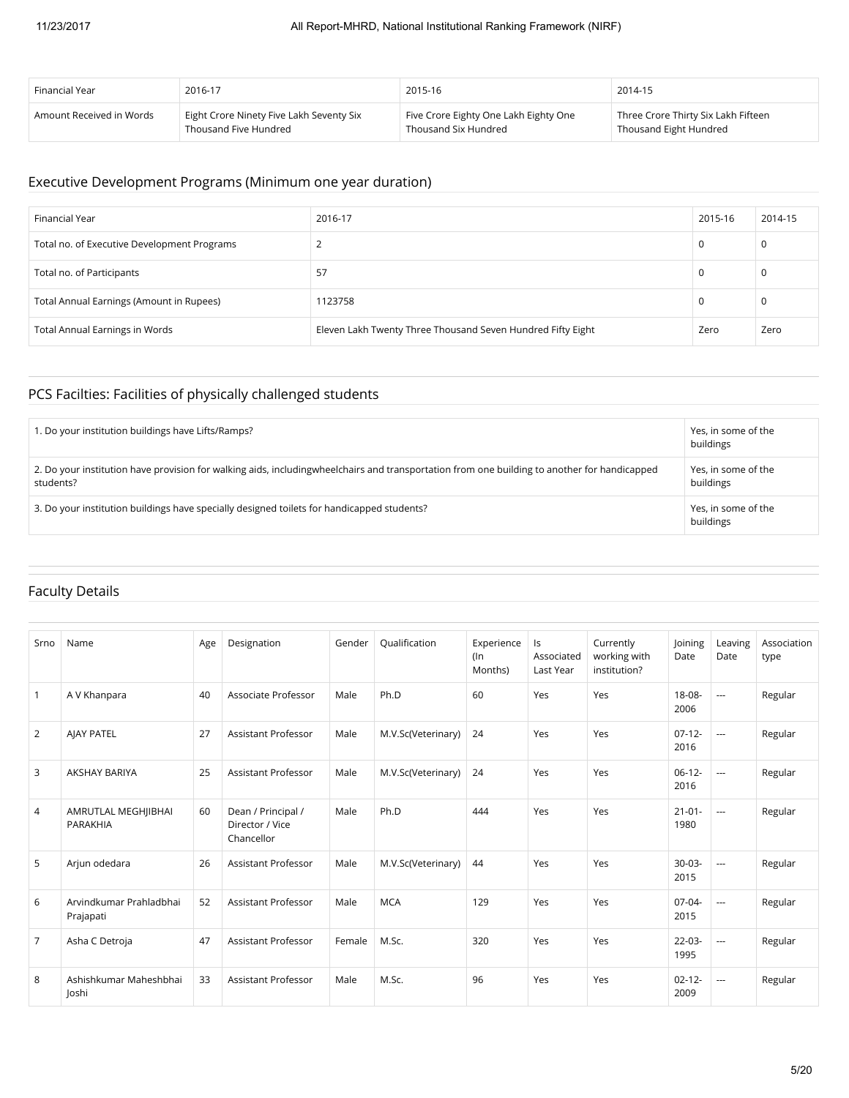| Financial Year           | 2016-17                                  | 2015-16                               | 2014-15                             |
|--------------------------|------------------------------------------|---------------------------------------|-------------------------------------|
| Amount Received in Words | Eight Crore Ninety Five Lakh Seventy Six | Five Crore Eighty One Lakh Eighty One | Three Crore Thirty Six Lakh Fifteen |
|                          | Thousand Five Hundred                    | Thousand Six Hundred                  | Thousand Eight Hundred              |

#### Executive Development Programs (Minimum one year duration)

| Financial Year                              | 2016-17                                                     | 2015-16 | 2014-15 |
|---------------------------------------------|-------------------------------------------------------------|---------|---------|
| Total no. of Executive Development Programs | ∸                                                           | 0       | 0       |
| Total no. of Participants                   | 57                                                          | 0       | 0       |
| Total Annual Earnings (Amount in Rupees)    | 1123758                                                     | 0       | 0       |
| <b>Total Annual Earnings in Words</b>       | Eleven Lakh Twenty Three Thousand Seven Hundred Fifty Eight | Zero    | Zero    |

## PCS Facilties: Facilities of physically challenged students

| 1. Do your institution buildings have Lifts/Ramps?                                                                                                        | Yes, in some of the<br>buildings |
|-----------------------------------------------------------------------------------------------------------------------------------------------------------|----------------------------------|
| 2. Do your institution have provision for walking aids, includingwheelchairs and transportation from one building to another for handicapped<br>students? | Yes, in some of the<br>buildings |
| 3. Do your institution buildings have specially designed toilets for handicapped students?                                                                | Yes, in some of the<br>buildings |

## Faculty Details

| Srno           | Name                                 | Age | Designation                                         | Gender | Qualification      | Experience<br>$($ ln<br>Months) | Is<br>Associated<br>Last Year | Currently<br>working with<br>institution? | Joining<br>Date     | Leaving<br>Date | Association<br>type |
|----------------|--------------------------------------|-----|-----------------------------------------------------|--------|--------------------|---------------------------------|-------------------------------|-------------------------------------------|---------------------|-----------------|---------------------|
| $\mathbf{1}$   | A V Khanpara                         | 40  | Associate Professor                                 | Male   | Ph.D               | 60                              | Yes                           | Yes                                       | 18-08-<br>2006      | $\sim$ $\sim$   | Regular             |
| $\overline{2}$ | <b>AJAY PATEL</b>                    | 27  | Assistant Professor                                 | Male   | M.V.Sc(Veterinary) | 24                              | Yes                           | Yes                                       | $07-12-$<br>2016    | $\sim$          | Regular             |
| 3              | <b>AKSHAY BARIYA</b>                 | 25  | Assistant Professor                                 | Male   | M.V.Sc(Veterinary) | 24                              | Yes                           | Yes                                       | $06-12-$<br>2016    | $\overline{a}$  | Regular             |
| 4              | AMRUTLAL MEGHJIBHAI<br>PARAKHIA      | 60  | Dean / Principal /<br>Director / Vice<br>Chancellor | Male   | Ph.D               | 444                             | Yes                           | Yes                                       | $21 - 01 -$<br>1980 | $\sim$          | Regular             |
| 5              | Arjun odedara                        | 26  | Assistant Professor                                 | Male   | M.V.Sc(Veterinary) | 44                              | Yes                           | Yes                                       | $30-03-$<br>2015    | $\sim$ $\sim$   | Regular             |
| 6              | Arvindkumar Prahladbhai<br>Prajapati | 52  | Assistant Professor                                 | Male   | <b>MCA</b>         | 129                             | Yes                           | Yes                                       | $07-04-$<br>2015    | $\sim$ $\sim$   | Regular             |
| $\overline{7}$ | Asha C Detroja                       | 47  | Assistant Professor                                 | Female | M.Sc.              | 320                             | Yes                           | Yes                                       | $22 - 03 -$<br>1995 | $\sim$ $\sim$   | Regular             |
| 8              | Ashishkumar Maheshbhai<br>loshi      | 33  | Assistant Professor                                 | Male   | M.Sc.              | 96                              | Yes                           | Yes                                       | $02 - 12 -$<br>2009 | ---             | Regular             |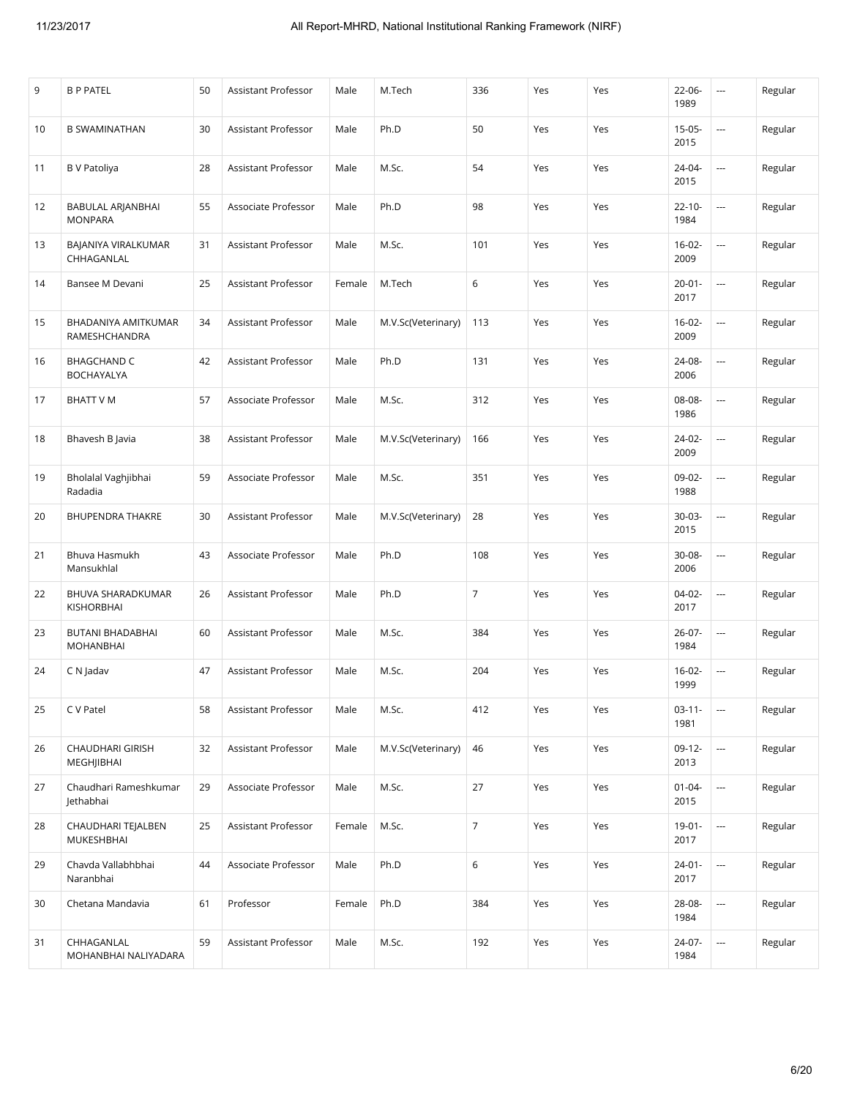| 9  | <b>B P PATEL</b>                        | 50 | Assistant Professor | Male   | M.Tech             | 336              | Yes | Yes | 22-06-<br>1989      | $\overline{\phantom{a}}$ | Regular |
|----|-----------------------------------------|----|---------------------|--------|--------------------|------------------|-----|-----|---------------------|--------------------------|---------|
| 10 | <b>B SWAMINATHAN</b>                    | 30 | Assistant Professor | Male   | Ph.D               | 50               | Yes | Yes | $15 - 05 -$<br>2015 | ---                      | Regular |
| 11 | <b>B</b> V Patoliya                     | 28 | Assistant Professor | Male   | M.Sc.              | 54               | Yes | Yes | 24-04-<br>2015      | $\sim$                   | Regular |
| 12 | BABULAL ARJANBHAI<br><b>MONPARA</b>     | 55 | Associate Professor | Male   | Ph.D               | 98               | Yes | Yes | $22 - 10 -$<br>1984 | ---                      | Regular |
| 13 | BAJANIYA VIRALKUMAR<br>CHHAGANLAL       | 31 | Assistant Professor | Male   | M.Sc.              | 101              | Yes | Yes | $16-02-$<br>2009    | ---                      | Regular |
| 14 | Bansee M Devani                         | 25 | Assistant Professor | Female | M.Tech             | 6                | Yes | Yes | $20 - 01 -$<br>2017 | $\sim$                   | Regular |
| 15 | BHADANIYA AMITKUMAR<br>RAMESHCHANDRA    | 34 | Assistant Professor | Male   | M.V.Sc(Veterinary) | 113              | Yes | Yes | $16-02-$<br>2009    | $\overline{\phantom{a}}$ | Regular |
| 16 | <b>BHAGCHAND C</b><br><b>BOCHAYALYA</b> | 42 | Assistant Professor | Male   | Ph.D               | 131              | Yes | Yes | 24-08-<br>2006      | ---                      | Regular |
| 17 | <b>BHATT V M</b>                        | 57 | Associate Professor | Male   | M.Sc.              | 312              | Yes | Yes | 08-08-<br>1986      | $\overline{\phantom{a}}$ | Regular |
| 18 | Bhavesh B Javia                         | 38 | Assistant Professor | Male   | M.V.Sc(Veterinary) | 166              | Yes | Yes | 24-02-<br>2009      | ---                      | Regular |
| 19 | Bholalal Vaghjibhai<br>Radadia          | 59 | Associate Professor | Male   | M.Sc.              | 351              | Yes | Yes | 09-02-<br>1988      | ---                      | Regular |
| 20 | <b>BHUPENDRA THAKRE</b>                 | 30 | Assistant Professor | Male   | M.V.Sc(Veterinary) | 28               | Yes | Yes | 30-03-<br>2015      | $\overline{\phantom{a}}$ | Regular |
| 21 | Bhuva Hasmukh<br>Mansukhlal             | 43 | Associate Professor | Male   | Ph.D               | 108              | Yes | Yes | 30-08-<br>2006      | ---                      | Regular |
| 22 | BHUVA SHARADKUMAR<br>KISHORBHAI         | 26 | Assistant Professor | Male   | Ph.D               | $\overline{7}$   | Yes | Yes | $04-02-$<br>2017    | ---                      | Regular |
| 23 | BUTANI BHADABHAI<br><b>MOHANBHAI</b>    | 60 | Assistant Professor | Male   | M.Sc.              | 384              | Yes | Yes | 26-07-<br>1984      | $\sim$                   | Regular |
| 24 | C N Jadav                               | 47 | Assistant Professor | Male   | M.Sc.              | 204              | Yes | Yes | $16 - 02 -$<br>1999 | $\overline{\phantom{a}}$ | Regular |
| 25 | C V Patel                               | 58 | Assistant Professor | Male   | M.Sc.              | 412              | Yes | Yes | $03-11-$<br>1981    | $\cdots$                 | Regular |
| 26 | <b>CHAUDHARI GIRISH</b><br>MEGHJIBHAI   | 32 | Assistant Professor | Male   | M.V.Sc(Veterinary) | 46               | Yes | Yes | $09-12-$<br>2013    |                          | Regular |
| 27 | Chaudhari Rameshkumar<br>Jethabhai      | 29 | Associate Professor | Male   | M.Sc.              | 27               | Yes | Yes | $01 - 04 -$<br>2015 | $\overline{\phantom{a}}$ | Regular |
| 28 | CHAUDHARI TEJALBEN<br>MUKESHBHAI        | 25 | Assistant Professor | Female | M.Sc.              | $\boldsymbol{7}$ | Yes | Yes | $19 - 01 -$<br>2017 | $\overline{\phantom{a}}$ | Regular |
| 29 | Chavda Vallabhbhai<br>Naranbhai         | 44 | Associate Professor | Male   | Ph.D               | $\,$ 6 $\,$      | Yes | Yes | $24 - 01 -$<br>2017 |                          | Regular |
| 30 | Chetana Mandavia                        | 61 | Professor           | Female | Ph.D               | 384              | Yes | Yes | 28-08-<br>1984      | $\cdots$                 | Regular |
| 31 | CHHAGANLAL<br>MOHANBHAI NALIYADARA      | 59 | Assistant Professor | Male   | M.Sc.              | 192              | Yes | Yes | 24-07-<br>1984      | $\overline{\phantom{a}}$ | Regular |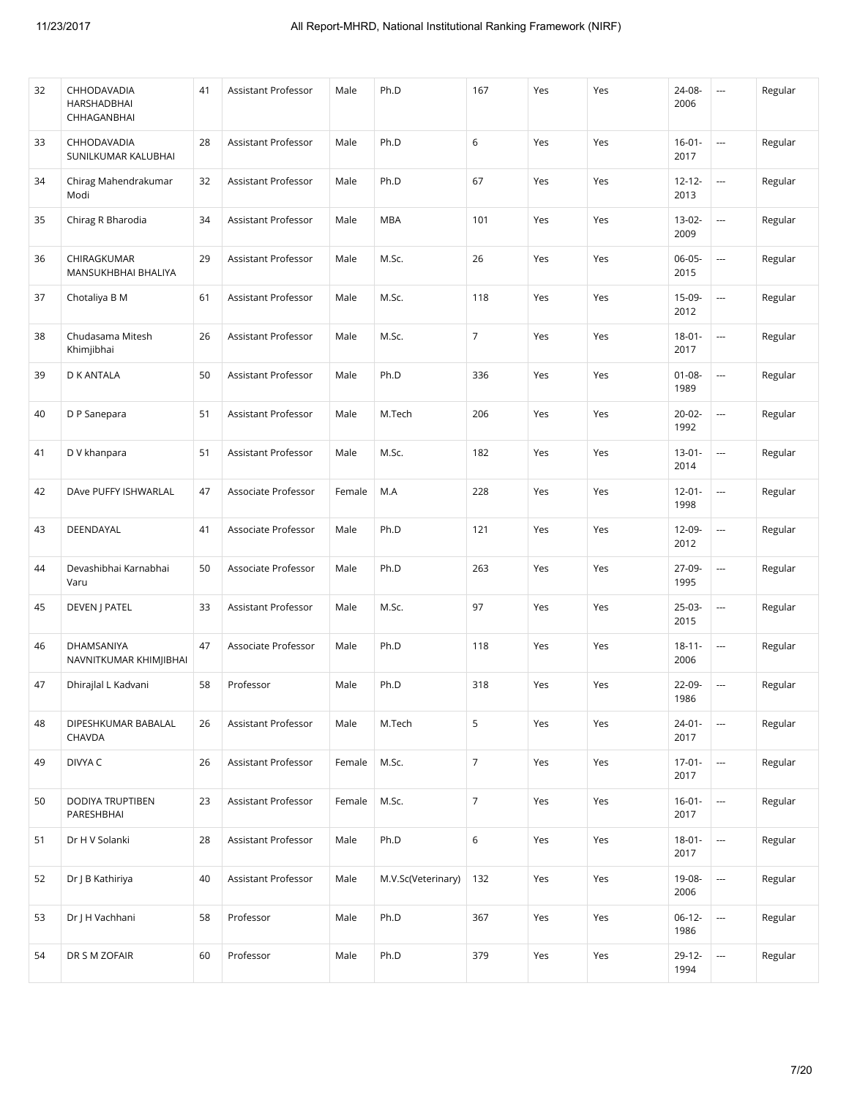| 32 | CHHODAVADIA<br>HARSHADBHAI<br>CHHAGANBHAI | 41 | Assistant Professor | Male   | Ph.D               | 167              | Yes | Yes | 24-08-<br>2006      | ---                      | Regular |
|----|-------------------------------------------|----|---------------------|--------|--------------------|------------------|-----|-----|---------------------|--------------------------|---------|
| 33 | CHHODAVADIA<br>SUNILKUMAR KALUBHAI        | 28 | Assistant Professor | Male   | Ph.D               | 6                | Yes | Yes | $16 - 01 -$<br>2017 | $\sim$                   | Regular |
| 34 | Chirag Mahendrakumar<br>Modi              | 32 | Assistant Professor | Male   | Ph.D               | 67               | Yes | Yes | $12 - 12 -$<br>2013 | $\overline{\phantom{a}}$ | Regular |
| 35 | Chirag R Bharodia                         | 34 | Assistant Professor | Male   | <b>MBA</b>         | 101              | Yes | Yes | 13-02-<br>2009      | ---                      | Regular |
| 36 | CHIRAGKUMAR<br>MANSUKHBHAI BHALIYA        | 29 | Assistant Professor | Male   | M.Sc.              | 26               | Yes | Yes | $06 - 05 -$<br>2015 |                          | Regular |
| 37 | Chotaliya B M                             | 61 | Assistant Professor | Male   | M.Sc.              | 118              | Yes | Yes | 15-09-<br>2012      | $\overline{\phantom{a}}$ | Regular |
| 38 | Chudasama Mitesh<br>Khimjibhai            | 26 | Assistant Professor | Male   | M.Sc.              | $\overline{7}$   | Yes | Yes | $18 - 01 -$<br>2017 | $\overline{\phantom{a}}$ | Regular |
| 39 | D K ANTALA                                | 50 | Assistant Professor | Male   | Ph.D               | 336              | Yes | Yes | $01 - 08 -$<br>1989 | $\sim$                   | Regular |
| 40 | D P Sanepara                              | 51 | Assistant Professor | Male   | M.Tech             | 206              | Yes | Yes | $20 - 02 -$<br>1992 | $\overline{\phantom{a}}$ | Regular |
| 41 | D V khanpara                              | 51 | Assistant Professor | Male   | M.Sc.              | 182              | Yes | Yes | $13-01-$<br>2014    | $\overline{\phantom{a}}$ | Regular |
| 42 | DAve PUFFY ISHWARLAL                      | 47 | Associate Professor | Female | M.A                | 228              | Yes | Yes | $12 - 01 -$<br>1998 | $\sim$                   | Regular |
| 43 | DEENDAYAL                                 | 41 | Associate Professor | Male   | Ph.D               | 121              | Yes | Yes | 12-09-<br>2012      | $\overline{\phantom{a}}$ | Regular |
| 44 | Devashibhai Karnabhai<br>Varu             | 50 | Associate Professor | Male   | Ph.D               | 263              | Yes | Yes | 27-09-<br>1995      | $\overline{\phantom{a}}$ | Regular |
| 45 | DEVEN J PATEL                             | 33 | Assistant Professor | Male   | M.Sc.              | 97               | Yes | Yes | $25-03-$<br>2015    |                          | Regular |
| 46 | DHAMSANIYA<br>NAVNITKUMAR KHIMJIBHAI      | 47 | Associate Professor | Male   | Ph.D               | 118              | Yes | Yes | $18 - 11 -$<br>2006 | $\overline{\phantom{a}}$ | Regular |
| 47 | Dhirajlal L Kadvani                       | 58 | Professor           | Male   | Ph.D               | 318              | Yes | Yes | 22-09-<br>1986      | $\overline{\phantom{a}}$ | Regular |
| 48 | DIPESHKUMAR BABALAL<br>CHAVDA             | 26 | Assistant Professor | Male   | M.Tech             | $\mathsf S$      | Yes | Yes | $24 - 01 -$<br>2017 |                          | Regular |
| 49 | DIVYA C                                   | 26 | Assistant Professor | Female | M.Sc.              | $\overline{7}$   | Yes | Yes | $17-01-$<br>2017    | $\hspace{0.05cm} \cdots$ | Regular |
| 50 | DODIYA TRUPTIBEN<br>PARESHBHAI            | 23 | Assistant Professor | Female | M.Sc.              | $\boldsymbol{7}$ | Yes | Yes | $16 - 01 -$<br>2017 | $\overline{\phantom{a}}$ | Regular |
| 51 | Dr H V Solanki                            | 28 | Assistant Professor | Male   | Ph.D               | $\,$ 6 $\,$      | Yes | Yes | $18 - 01 -$<br>2017 | $\overline{\phantom{a}}$ | Regular |
| 52 | Dr   B Kathiriya                          | 40 | Assistant Professor | Male   | M.V.Sc(Veterinary) | 132              | Yes | Yes | 19-08-<br>2006      | $\overline{\phantom{a}}$ | Regular |
| 53 | Dr J H Vachhani                           | 58 | Professor           | Male   | Ph.D               | 367              | Yes | Yes | $06-12-$<br>1986    | $\overline{\phantom{a}}$ | Regular |
| 54 | DR S M ZOFAIR                             | 60 | Professor           | Male   | Ph.D               | 379              | Yes | Yes | 29-12-<br>1994      | $\overline{\phantom{a}}$ | Regular |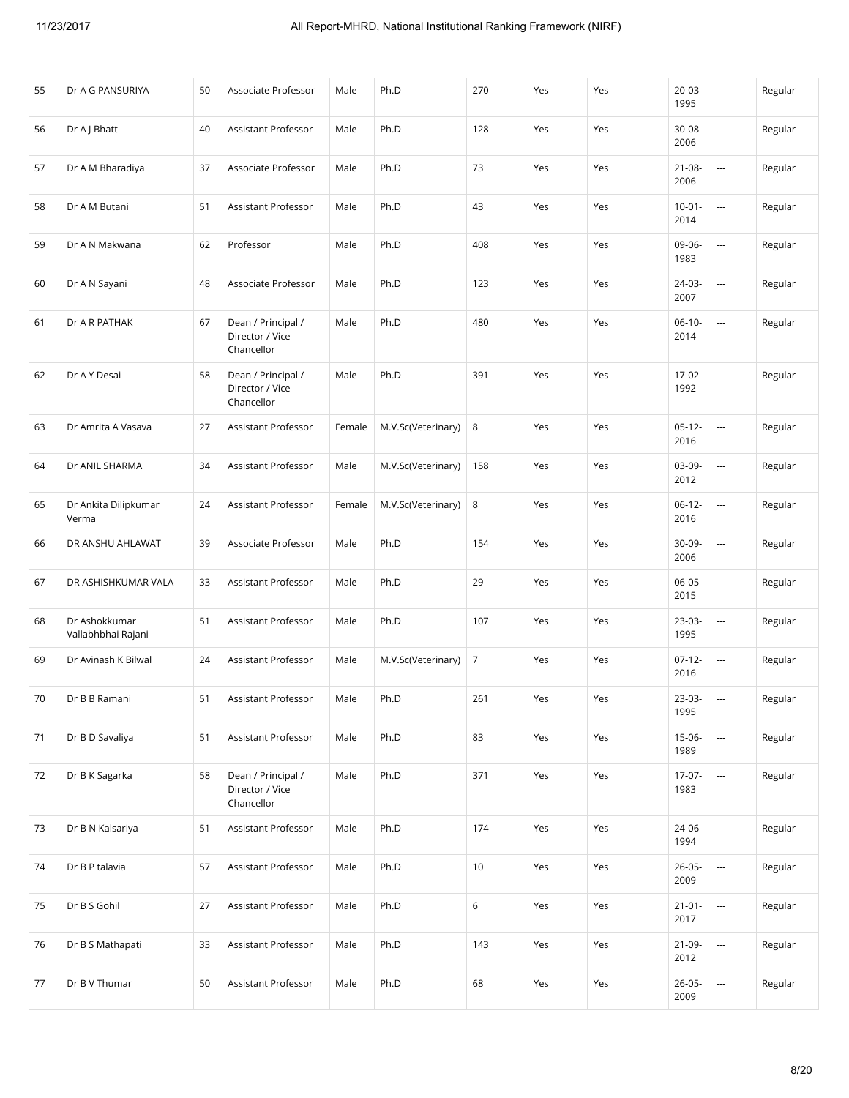| 55 | Dr A G PANSURIYA                    | 50 | Associate Professor                                 | Male   | Ph.D               | 270 | Yes | Yes | $20 - 03 -$<br>1995 | ---                      | Regular |
|----|-------------------------------------|----|-----------------------------------------------------|--------|--------------------|-----|-----|-----|---------------------|--------------------------|---------|
| 56 | Dr A J Bhatt                        | 40 | Assistant Professor                                 | Male   | Ph.D               | 128 | Yes | Yes | 30-08-<br>2006      |                          | Regular |
| 57 | Dr A M Bharadiya                    | 37 | Associate Professor                                 | Male   | Ph.D               | 73  | Yes | Yes | $21 - 08 -$<br>2006 | $\overline{\phantom{a}}$ | Regular |
| 58 | Dr A M Butani                       | 51 | Assistant Professor                                 | Male   | Ph.D               | 43  | Yes | Yes | $10 - 01 -$<br>2014 |                          | Regular |
| 59 | Dr A N Makwana                      | 62 | Professor                                           | Male   | Ph.D               | 408 | Yes | Yes | 09-06-<br>1983      |                          | Regular |
| 60 | Dr A N Sayani                       | 48 | Associate Professor                                 | Male   | Ph.D               | 123 | Yes | Yes | 24-03-<br>2007      |                          | Regular |
| 61 | Dr A R PATHAK                       | 67 | Dean / Principal /<br>Director / Vice<br>Chancellor | Male   | Ph.D               | 480 | Yes | Yes | $06-10-$<br>2014    |                          | Regular |
| 62 | Dr A Y Desai                        | 58 | Dean / Principal /<br>Director / Vice<br>Chancellor | Male   | Ph.D               | 391 | Yes | Yes | 17-02-<br>1992      | u.                       | Regular |
| 63 | Dr Amrita A Vasava                  | 27 | Assistant Professor                                 | Female | M.V.Sc(Veterinary) | 8   | Yes | Yes | $05-12-$<br>2016    | $\overline{\phantom{a}}$ | Regular |
| 64 | Dr ANIL SHARMA                      | 34 | Assistant Professor                                 | Male   | M.V.Sc(Veterinary) | 158 | Yes | Yes | 03-09-<br>2012      |                          | Regular |
| 65 | Dr Ankita Dilipkumar<br>Verma       | 24 | Assistant Professor                                 | Female | M.V.Sc(Veterinary) | 8   | Yes | Yes | $06-12-$<br>2016    | $\overline{\phantom{a}}$ | Regular |
| 66 | DR ANSHU AHLAWAT                    | 39 | Associate Professor                                 | Male   | Ph.D               | 154 | Yes | Yes | 30-09-<br>2006      | $\overline{\phantom{a}}$ | Regular |
| 67 | DR ASHISHKUMAR VALA                 | 33 | Assistant Professor                                 | Male   | Ph.D               | 29  | Yes | Yes | 06-05-<br>2015      |                          | Regular |
| 68 | Dr Ashokkumar<br>Vallabhbhai Rajani | 51 | Assistant Professor                                 | Male   | Ph.D               | 107 | Yes | Yes | 23-03-<br>1995      | $\overline{\phantom{a}}$ | Regular |
| 69 | Dr Avinash K Bilwal                 | 24 | Assistant Professor                                 | Male   | M.V.Sc(Veterinary) | 7   | Yes | Yes | $07-12-$<br>2016    | $\overline{\phantom{a}}$ | Regular |
| 70 | Dr B B Ramani                       | 51 | Assistant Professor                                 | Male   | Ph.D               | 261 | Yes | Yes | 23-03-<br>1995      |                          | Regular |
| 71 | Dr B D Savaliya                     | 51 | Assistant Professor                                 | Male   | Ph.D               | 83  | Yes | Yes | 15-06-<br>1989      |                          | Regular |
| 72 | Dr B K Sagarka                      | 58 | Dean / Principal /<br>Director / Vice<br>Chancellor | Male   | Ph.D               | 371 | Yes | Yes | 17-07-<br>1983      |                          | Regular |
| 73 | Dr B N Kalsariya                    | 51 | Assistant Professor                                 | Male   | Ph.D               | 174 | Yes | Yes | 24-06-<br>1994      |                          | Regular |
| 74 | Dr B P talavia                      | 57 | Assistant Professor                                 | Male   | Ph.D               | 10  | Yes | Yes | $26 - 05 -$<br>2009 |                          | Regular |
| 75 | Dr B S Gohil                        | 27 | Assistant Professor                                 | Male   | Ph.D               | 6   | Yes | Yes | $21 - 01 -$<br>2017 | ---                      | Regular |
| 76 | Dr B S Mathapati                    | 33 | Assistant Professor                                 | Male   | Ph.D               | 143 | Yes | Yes | $21-09-$<br>2012    |                          | Regular |
| 77 | Dr B V Thumar                       | 50 | Assistant Professor                                 | Male   | Ph.D               | 68  | Yes | Yes | $26 - 05 -$<br>2009 | $\overline{\phantom{a}}$ | Regular |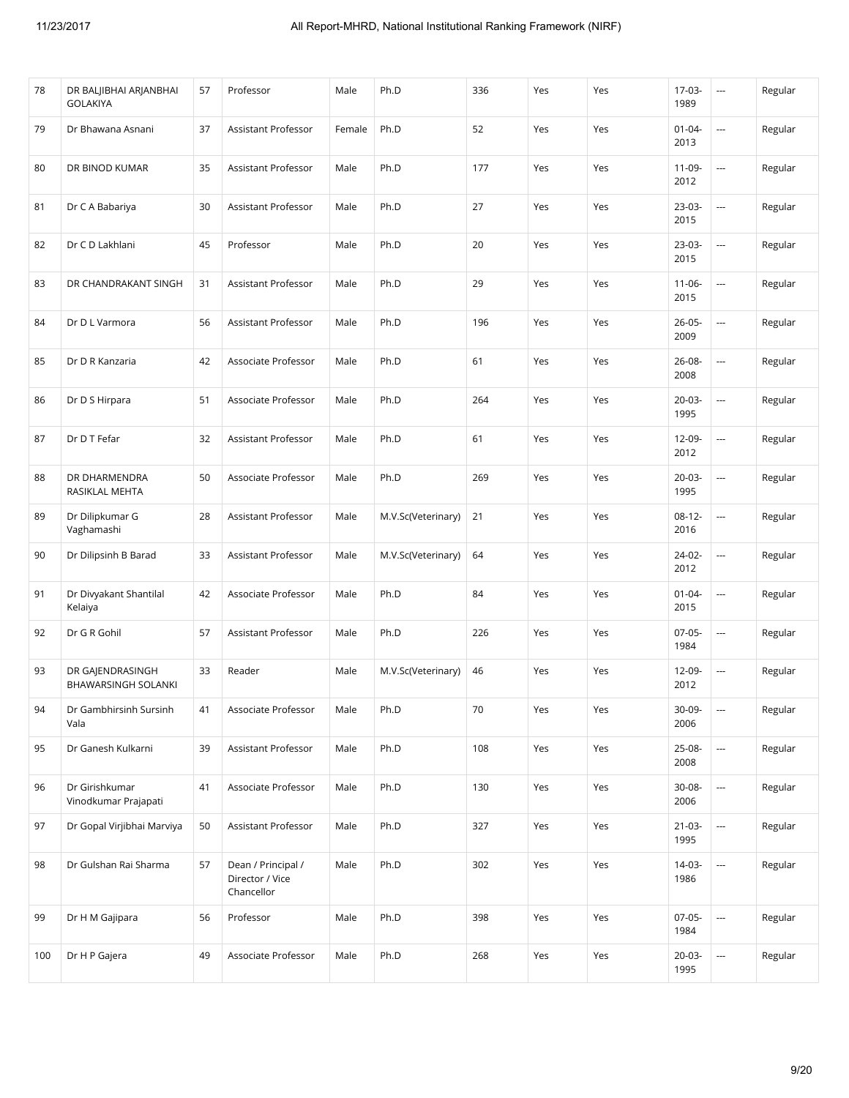| 78  | DR BALJIBHAI ARJANBHAI<br><b>GOLAKIYA</b> | 57 | Professor                                           | Male   | Ph.D               | 336 | Yes | Yes | 17-03-<br>1989      | $\cdots$                 | Regular |
|-----|-------------------------------------------|----|-----------------------------------------------------|--------|--------------------|-----|-----|-----|---------------------|--------------------------|---------|
| 79  | Dr Bhawana Asnani                         | 37 | Assistant Professor                                 | Female | Ph.D               | 52  | Yes | Yes | $01 - 04 -$<br>2013 |                          | Regular |
| 80  | DR BINOD KUMAR                            | 35 | <b>Assistant Professor</b>                          | Male   | Ph.D               | 177 | Yes | Yes | 11-09-<br>2012      | u.                       | Regular |
| 81  | Dr C A Babariya                           | 30 | Assistant Professor                                 | Male   | Ph.D               | 27  | Yes | Yes | $23-03-$<br>2015    |                          | Regular |
| 82  | Dr C D Lakhlani                           | 45 | Professor                                           | Male   | Ph.D               | 20  | Yes | Yes | 23-03-<br>2015      |                          | Regular |
| 83  | DR CHANDRAKANT SINGH                      | 31 | Assistant Professor                                 | Male   | Ph.D               | 29  | Yes | Yes | $11 - 06 -$<br>2015 | u.                       | Regular |
| 84  | Dr D L Varmora                            | 56 | Assistant Professor                                 | Male   | Ph.D               | 196 | Yes | Yes | $26 - 05 -$<br>2009 |                          | Regular |
| 85  | Dr D R Kanzaria                           | 42 | Associate Professor                                 | Male   | Ph.D               | 61  | Yes | Yes | 26-08-<br>2008      | u.                       | Regular |
| 86  | Dr D S Hirpara                            | 51 | Associate Professor                                 | Male   | Ph.D               | 264 | Yes | Yes | $20 - 03 -$<br>1995 | u.                       | Regular |
| 87  | Dr D T Fefar                              | 32 | <b>Assistant Professor</b>                          | Male   | Ph.D               | 61  | Yes | Yes | 12-09-<br>2012      | $\overline{\phantom{a}}$ | Regular |
| 88  | DR DHARMENDRA<br>RASIKLAL MEHTA           | 50 | Associate Professor                                 | Male   | Ph.D               | 269 | Yes | Yes | $20 - 03 -$<br>1995 |                          | Regular |
| 89  | Dr Dilipkumar G<br>Vaghamashi             | 28 | Assistant Professor                                 | Male   | M.V.Sc(Veterinary) | 21  | Yes | Yes | $08-12-$<br>2016    | u.                       | Regular |
| 90  | Dr Dilipsinh B Barad                      | 33 | Assistant Professor                                 | Male   | M.V.Sc(Veterinary) | 64  | Yes | Yes | $24-02-$<br>2012    |                          | Regular |
| 91  | Dr Divyakant Shantilal<br>Kelaiya         | 42 | Associate Professor                                 | Male   | Ph.D               | 84  | Yes | Yes | $01 - 04 -$<br>2015 |                          | Regular |
| 92  | Dr G R Gohil                              | 57 | Assistant Professor                                 | Male   | Ph.D               | 226 | Yes | Yes | $07-05-$<br>1984    |                          | Regular |
| 93  | DR GAJENDRASINGH<br>BHAWARSINGH SOLANKI   | 33 | Reader                                              | Male   | M.V.Sc(Veterinary) | 46  | Yes | Yes | 12-09-<br>2012      | $\overline{\phantom{a}}$ | Regular |
| 94  | Dr Gambhirsinh Sursinh<br>Vala            | 41 | Associate Professor                                 | Male   | Ph.D               | 70  | Yes | Yes | 30-09-<br>2006      | $\overline{a}$           | Regular |
| 95  | Dr Ganesh Kulkarni                        | 39 | Assistant Professor                                 | Male   | Ph.D               | 108 | Yes | Yes | 25-08-<br>2008      |                          | Regular |
| 96  | Dr Girishkumar<br>Vinodkumar Prajapati    | 41 | Associate Professor                                 | Male   | Ph.D               | 130 | Yes | Yes | 30-08-<br>2006      |                          | Regular |
| 97  | Dr Gopal Virjibhai Marviya                | 50 | Assistant Professor                                 | Male   | Ph.D               | 327 | Yes | Yes | $21 - 03 -$<br>1995 |                          | Regular |
| 98  | Dr Gulshan Rai Sharma                     | 57 | Dean / Principal /<br>Director / Vice<br>Chancellor | Male   | Ph.D               | 302 | Yes | Yes | $14-03-$<br>1986    |                          | Regular |
| 99  | Dr H M Gajipara                           | 56 | Professor                                           | Male   | Ph.D               | 398 | Yes | Yes | $07-05-$<br>1984    |                          | Regular |
| 100 | Dr H P Gajera                             | 49 | Associate Professor                                 | Male   | Ph.D               | 268 | Yes | Yes | $20 - 03 -$<br>1995 |                          | Regular |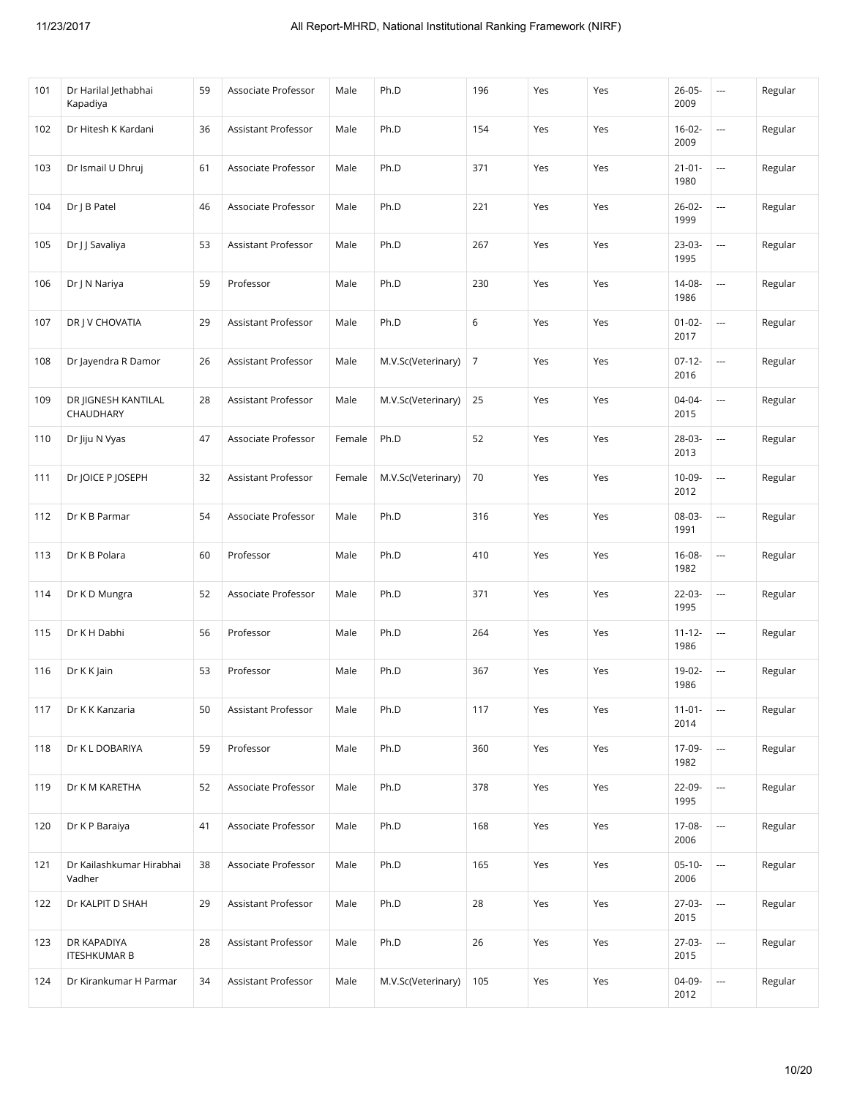| 101 | Dr Harilal Jethabhai<br>Kapadiya   | 59 | Associate Professor        | Male   | Ph.D               | 196            | Yes | Yes | $26 - 05 -$<br>2009 | ---                      | Regular |
|-----|------------------------------------|----|----------------------------|--------|--------------------|----------------|-----|-----|---------------------|--------------------------|---------|
| 102 | Dr Hitesh K Kardani                | 36 | Assistant Professor        | Male   | Ph.D               | 154            | Yes | Yes | $16-02-$<br>2009    |                          | Regular |
| 103 | Dr Ismail U Dhruj                  | 61 | Associate Professor        | Male   | Ph.D               | 371            | Yes | Yes | $21 - 01 -$<br>1980 | $\overline{\phantom{a}}$ | Regular |
| 104 | Dr J B Patel                       | 46 | Associate Professor        | Male   | Ph.D               | 221            | Yes | Yes | $26 - 02 -$<br>1999 | $\overline{\phantom{a}}$ | Regular |
| 105 | Dr J J Savaliya                    | 53 | Assistant Professor        | Male   | Ph.D               | 267            | Yes | Yes | 23-03-<br>1995      |                          | Regular |
| 106 | Dr J N Nariya                      | 59 | Professor                  | Male   | Ph.D               | 230            | Yes | Yes | 14-08-<br>1986      | $\overline{\phantom{a}}$ | Regular |
| 107 | DR J V CHOVATIA                    | 29 | Assistant Professor        | Male   | Ph.D               | 6              | Yes | Yes | $01 - 02 -$<br>2017 | $\sim$                   | Regular |
| 108 | Dr Jayendra R Damor                | 26 | Assistant Professor        | Male   | M.V.Sc(Veterinary) | $\overline{7}$ | Yes | Yes | $07-12-$<br>2016    | $\overline{\phantom{a}}$ | Regular |
| 109 | DR JIGNESH KANTILAL<br>CHAUDHARY   | 28 | Assistant Professor        | Male   | M.V.Sc(Veterinary) | 25             | Yes | Yes | 04-04-<br>2015      | $\overline{\phantom{a}}$ | Regular |
| 110 | Dr Jiju N Vyas                     | 47 | Associate Professor        | Female | Ph.D               | 52             | Yes | Yes | 28-03-<br>2013      | $\overline{a}$           | Regular |
| 111 | Dr JOICE P JOSEPH                  | 32 | <b>Assistant Professor</b> | Female | M.V.Sc(Veterinary) | 70             | Yes | Yes | 10-09-<br>2012      | $\overline{a}$           | Regular |
| 112 | Dr K B Parmar                      | 54 | Associate Professor        | Male   | Ph.D               | 316            | Yes | Yes | 08-03-<br>1991      | $\overline{\phantom{a}}$ | Regular |
| 113 | Dr K B Polara                      | 60 | Professor                  | Male   | Ph.D               | 410            | Yes | Yes | $16 - 08 -$<br>1982 | $\overline{a}$           | Regular |
| 114 | Dr K D Mungra                      | 52 | Associate Professor        | Male   | Ph.D               | 371            | Yes | Yes | 22-03-<br>1995      | $\overline{\phantom{a}}$ | Regular |
| 115 | Dr K H Dabhi                       | 56 | Professor                  | Male   | Ph.D               | 264            | Yes | Yes | $11 - 12 -$<br>1986 | $\overline{\phantom{a}}$ | Regular |
| 116 | Dr K K Jain                        | 53 | Professor                  | Male   | Ph.D               | 367            | Yes | Yes | 19-02-<br>1986      | $\overline{\phantom{a}}$ | Regular |
| 117 | Dr K K Kanzaria                    | 50 | Assistant Professor        | Male   | Ph.D               | 117            | Yes | Yes | $11-01-$<br>2014    | $\overline{\phantom{a}}$ | Regular |
| 118 | Dr K L DOBARIYA                    | 59 | Professor                  | Male   | Ph.D               | 360            | Yes | Yes | 17-09-<br>1982      |                          | Regular |
| 119 | Dr K M KARETHA                     | 52 | Associate Professor        | Male   | Ph.D               | 378            | Yes | Yes | 22-09-<br>1995      | $\overline{\phantom{a}}$ | Regular |
| 120 | Dr K P Baraiya                     | 41 | Associate Professor        | Male   | Ph.D               | 168            | Yes | Yes | 17-08-<br>2006      | $\overline{a}$           | Regular |
| 121 | Dr Kailashkumar Hirabhai<br>Vadher | 38 | Associate Professor        | Male   | Ph.D               | 165            | Yes | Yes | $05-10-$<br>2006    | $\overline{\phantom{a}}$ | Regular |
| 122 | Dr KALPIT D SHAH                   | 29 | Assistant Professor        | Male   | Ph.D               | 28             | Yes | Yes | 27-03-<br>2015      |                          | Regular |
| 123 | DR KAPADIYA<br><b>ITESHKUMAR B</b> | 28 | Assistant Professor        | Male   | Ph.D               | 26             | Yes | Yes | 27-03-<br>2015      |                          | Regular |
| 124 | Dr Kirankumar H Parmar             | 34 | Assistant Professor        | Male   | M.V.Sc(Veterinary) | 105            | Yes | Yes | 04-09-<br>2012      | $\ddotsc$                | Regular |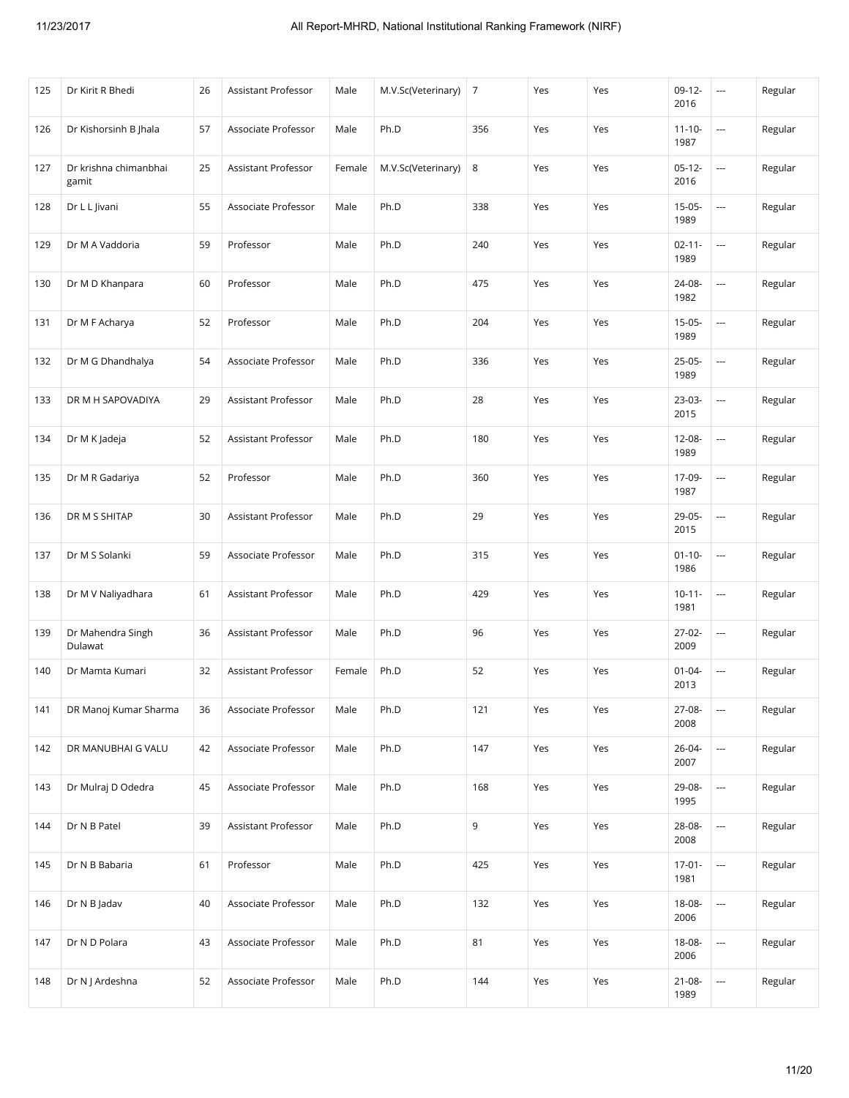| 125 | Dr Kirit R Bhedi               | 26 | Assistant Professor        | Male   | M.V.Sc(Veterinary) | $\overline{7}$ | Yes | Yes | $09-12-$<br>2016    | $\sim$                   | Regular |
|-----|--------------------------------|----|----------------------------|--------|--------------------|----------------|-----|-----|---------------------|--------------------------|---------|
| 126 | Dr Kishorsinh B Jhala          | 57 | Associate Professor        | Male   | Ph.D               | 356            | Yes | Yes | $11 - 10 -$<br>1987 |                          | Regular |
| 127 | Dr krishna chimanbhai<br>gamit | 25 | <b>Assistant Professor</b> | Female | M.V.Sc(Veterinary) | 8              | Yes | Yes | $05-12-$<br>2016    | $\hspace{0.05cm} \cdots$ | Regular |
| 128 | Dr L L Jivani                  | 55 | Associate Professor        | Male   | Ph.D               | 338            | Yes | Yes | $15-05-$<br>1989    | $\overline{a}$           | Regular |
| 129 | Dr M A Vaddoria                | 59 | Professor                  | Male   | Ph.D               | 240            | Yes | Yes | $02 - 11 -$<br>1989 |                          | Regular |
| 130 | Dr M D Khanpara                | 60 | Professor                  | Male   | Ph.D               | 475            | Yes | Yes | 24-08-<br>1982      | $\overline{a}$           | Regular |
| 131 | Dr M F Acharya                 | 52 | Professor                  | Male   | Ph.D               | 204            | Yes | Yes | $15-05-$<br>1989    | $\overline{\phantom{a}}$ | Regular |
| 132 | Dr M G Dhandhalya              | 54 | Associate Professor        | Male   | Ph.D               | 336            | Yes | Yes | $25-05-$<br>1989    | ---                      | Regular |
| 133 | DR M H SAPOVADIYA              | 29 | Assistant Professor        | Male   | Ph.D               | 28             | Yes | Yes | 23-03-<br>2015      | $\overline{a}$           | Regular |
| 134 | Dr M K Jadeja                  | 52 | Assistant Professor        | Male   | Ph.D               | 180            | Yes | Yes | $12 - 08 -$<br>1989 | $\overline{a}$           | Regular |
| 135 | Dr M R Gadariya                | 52 | Professor                  | Male   | Ph.D               | 360            | Yes | Yes | 17-09-<br>1987      | ---                      | Regular |
| 136 | DR M S SHITAP                  | 30 | Assistant Professor        | Male   | Ph.D               | 29             | Yes | Yes | 29-05-<br>2015      | $\overline{a}$           | Regular |
| 137 | Dr M S Solanki                 | 59 | Associate Professor        | Male   | Ph.D               | 315            | Yes | Yes | $01 - 10 -$<br>1986 | $\sim$                   | Regular |
| 138 | Dr M V Naliyadhara             | 61 | Assistant Professor        | Male   | Ph.D               | 429            | Yes | Yes | $10 - 11 -$<br>1981 | $\overline{a}$           | Regular |
| 139 | Dr Mahendra Singh<br>Dulawat   | 36 | Assistant Professor        | Male   | Ph.D               | 96             | Yes | Yes | $27-02-$<br>2009    | $\overline{\phantom{a}}$ | Regular |
| 140 | Dr Mamta Kumari                | 32 | Assistant Professor        | Female | Ph.D               | 52             | Yes | Yes | $01 - 04 -$<br>2013 | $\overline{a}$           | Regular |
| 141 | DR Manoj Kumar Sharma          | 36 | Associate Professor        | Male   | Ph.D               | 121            | Yes | Yes | 27-08-<br>2008      | $\overline{a}$           | Regular |
| 142 | DR MANUBHAI G VALU             | 42 | Associate Professor        | Male   | Ph.D               | 147            | Yes | Yes | 26-04-<br>2007      |                          | Regular |
| 143 | Dr Mulraj D Odedra             | 45 | Associate Professor        | Male   | Ph.D               | 168            | Yes | Yes | 29-08-<br>1995      |                          | Regular |
| 144 | Dr N B Patel                   | 39 | Assistant Professor        | Male   | Ph.D               | 9              | Yes | Yes | 28-08-<br>2008      |                          | Regular |
| 145 | Dr N B Babaria                 | 61 | Professor                  | Male   | Ph.D               | 425            | Yes | Yes | $17 - 01 -$<br>1981 | $\overline{\phantom{a}}$ | Regular |
| 146 | Dr N B Jadav                   | 40 | Associate Professor        | Male   | Ph.D               | 132            | Yes | Yes | 18-08-<br>2006      |                          | Regular |
| 147 | Dr N D Polara                  | 43 | Associate Professor        | Male   | Ph.D               | 81             | Yes | Yes | 18-08-<br>2006      | $\overline{\phantom{a}}$ | Regular |
| 148 | Dr N J Ardeshna                | 52 | Associate Professor        | Male   | Ph.D               | 144            | Yes | Yes | $21 - 08 -$<br>1989 | $\ddotsc$                | Regular |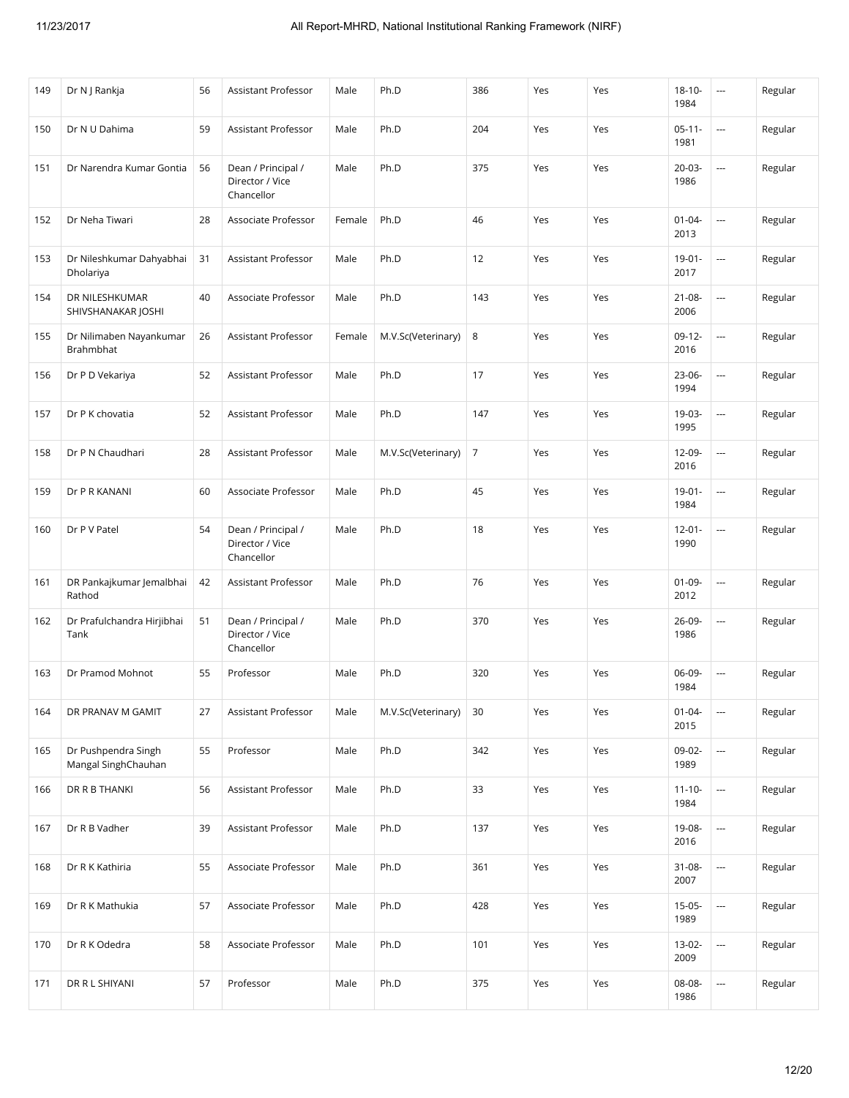| 149 | Dr N   Rankja                              | 56 | Assistant Professor                                 | Male   | Ph.D               | 386            | Yes | Yes | $18 - 10 -$<br>1984 | $\overline{\phantom{a}}$ | Regular |
|-----|--------------------------------------------|----|-----------------------------------------------------|--------|--------------------|----------------|-----|-----|---------------------|--------------------------|---------|
| 150 | Dr N U Dahima                              | 59 | Assistant Professor                                 | Male   | Ph.D               | 204            | Yes | Yes | $05-11-$<br>1981    | u.                       | Regular |
| 151 | Dr Narendra Kumar Gontia                   | 56 | Dean / Principal /<br>Director / Vice<br>Chancellor | Male   | Ph.D               | 375            | Yes | Yes | $20 - 03 -$<br>1986 |                          | Regular |
| 152 | Dr Neha Tiwari                             | 28 | Associate Professor                                 | Female | Ph.D               | 46             | Yes | Yes | $01 - 04 -$<br>2013 | u.                       | Regular |
| 153 | Dr Nileshkumar Dahyabhai<br>Dholariya      | 31 | Assistant Professor                                 | Male   | Ph.D               | 12             | Yes | Yes | $19 - 01 -$<br>2017 |                          | Regular |
| 154 | DR NILESHKUMAR<br>SHIVSHANAKAR JOSHI       | 40 | Associate Professor                                 | Male   | Ph.D               | 143            | Yes | Yes | $21 - 08 -$<br>2006 |                          | Regular |
| 155 | Dr Nilimaben Nayankumar<br>Brahmbhat       | 26 | Assistant Professor                                 | Female | M.V.Sc(Veterinary) | 8              | Yes | Yes | $09-12-$<br>2016    |                          | Regular |
| 156 | Dr P D Vekariya                            | 52 | <b>Assistant Professor</b>                          | Male   | Ph.D               | 17             | Yes | Yes | 23-06-<br>1994      | u.                       | Regular |
| 157 | Dr P K chovatia                            | 52 | Assistant Professor                                 | Male   | Ph.D               | 147            | Yes | Yes | 19-03-<br>1995      |                          | Regular |
| 158 | Dr P N Chaudhari                           | 28 | Assistant Professor                                 | Male   | M.V.Sc(Veterinary) | $\overline{7}$ | Yes | Yes | 12-09-<br>2016      |                          | Regular |
| 159 | Dr P R KANANI                              | 60 | Associate Professor                                 | Male   | Ph.D               | 45             | Yes | Yes | $19 - 01 -$<br>1984 |                          | Regular |
| 160 | Dr P V Patel                               | 54 | Dean / Principal /<br>Director / Vice<br>Chancellor | Male   | Ph.D               | 18             | Yes | Yes | $12 - 01 -$<br>1990 | u.                       | Regular |
| 161 | DR Pankajkumar Jemalbhai<br>Rathod         | 42 | Assistant Professor                                 | Male   | Ph.D               | 76             | Yes | Yes | $01 - 09 -$<br>2012 |                          | Regular |
| 162 | Dr Prafulchandra Hirjibhai<br>Tank         | 51 | Dean / Principal /<br>Director / Vice<br>Chancellor | Male   | Ph.D               | 370            | Yes | Yes | 26-09-<br>1986      |                          | Regular |
| 163 | Dr Pramod Mohnot                           | 55 | Professor                                           | Male   | Ph.D               | 320            | Yes | Yes | 06-09-<br>1984      |                          | Regular |
| 164 | DR PRANAV M GAMIT                          | 27 | Assistant Professor                                 | Male   | M.V.Sc(Veterinary) | 30             | Yes | Yes | $01 - 04 -$<br>2015 | $\overline{\phantom{a}}$ | Regular |
| 165 | Dr Pushpendra Singh<br>Mangal SinghChauhan | 55 | Professor                                           | Male   | Ph.D               | 342            | Yes | Yes | 09-02-<br>1989      |                          | Regular |
| 166 | DR R B THANKI                              | 56 | Assistant Professor                                 | Male   | Ph.D               | 33             | Yes | Yes | $11 - 10 -$<br>1984 |                          | Regular |
| 167 | Dr R B Vadher                              | 39 | Assistant Professor                                 | Male   | Ph.D               | 137            | Yes | Yes | 19-08-<br>2016      |                          | Regular |
| 168 | Dr R K Kathiria                            | 55 | Associate Professor                                 | Male   | Ph.D               | 361            | Yes | Yes | $31 - 08 -$<br>2007 |                          | Regular |
| 169 | Dr R K Mathukia                            | 57 | Associate Professor                                 | Male   | Ph.D               | 428            | Yes | Yes | $15-05-$<br>1989    | $\overline{\phantom{a}}$ | Regular |
| 170 | Dr R K Odedra                              | 58 | Associate Professor                                 | Male   | Ph.D               | 101            | Yes | Yes | $13-02-$<br>2009    |                          | Regular |
| 171 | DR R L SHIYANI                             | 57 | Professor                                           | Male   | Ph.D               | 375            | Yes | Yes | 08-08-<br>1986      |                          | Regular |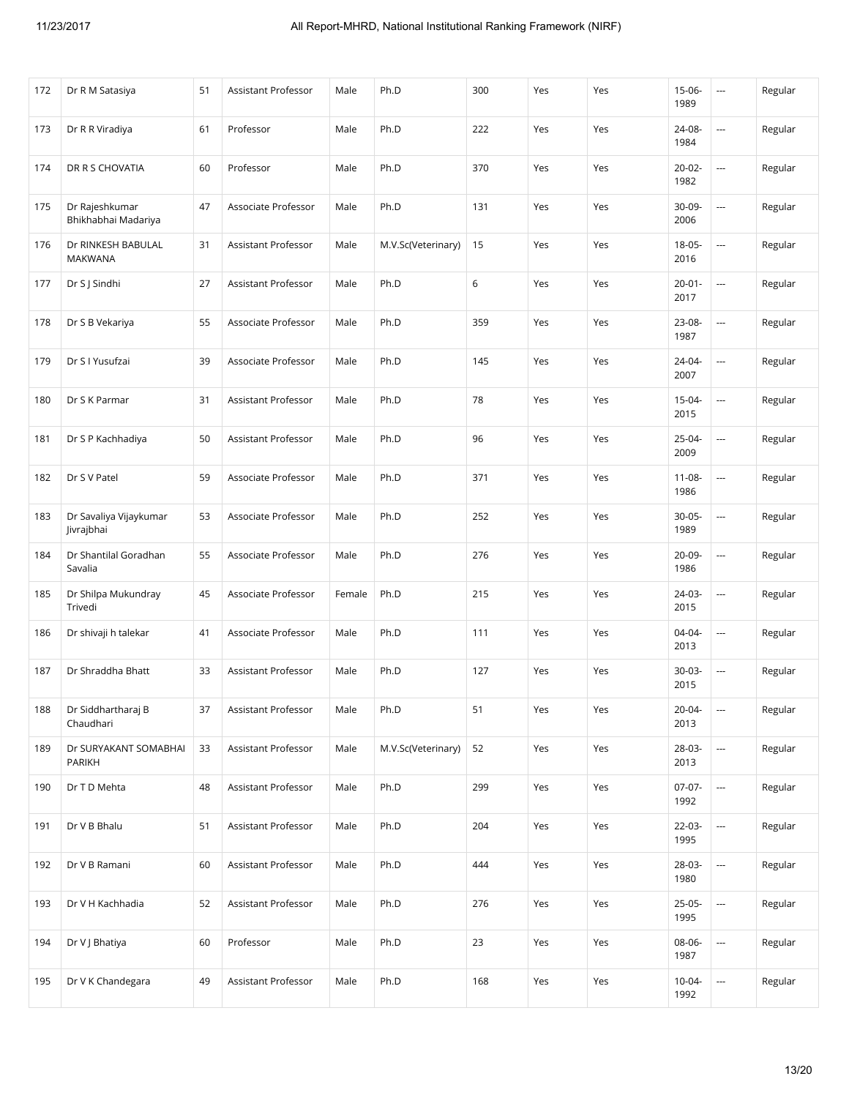| 172 | Dr R M Satasiya                        | 51 | Assistant Professor | Male   | Ph.D               | 300         | Yes | Yes | $15-06-$<br>1989    | $\sim$                   | Regular |
|-----|----------------------------------------|----|---------------------|--------|--------------------|-------------|-----|-----|---------------------|--------------------------|---------|
| 173 | Dr R R Viradiya                        | 61 | Professor           | Male   | Ph.D               | 222         | Yes | Yes | 24-08-<br>1984      | ---                      | Regular |
| 174 | DR R S CHOVATIA                        | 60 | Professor           | Male   | Ph.D               | 370         | Yes | Yes | $20 - 02 -$<br>1982 | ---                      | Regular |
| 175 | Dr Rajeshkumar<br>Bhikhabhai Madariya  | 47 | Associate Professor | Male   | Ph.D               | 131         | Yes | Yes | 30-09-<br>2006      | $\overline{a}$           | Regular |
| 176 | Dr RINKESH BABULAL<br><b>MAKWANA</b>   | 31 | Assistant Professor | Male   | M.V.Sc(Veterinary) | 15          | Yes | Yes | 18-05-<br>2016      | ---                      | Regular |
| 177 | Dr S J Sindhi                          | 27 | Assistant Professor | Male   | Ph.D               | $\,$ 6 $\,$ | Yes | Yes | $20 - 01 -$<br>2017 | ---                      | Regular |
| 178 | Dr S B Vekariya                        | 55 | Associate Professor | Male   | Ph.D               | 359         | Yes | Yes | 23-08-<br>1987      | $\sim$                   | Regular |
| 179 | Dr S I Yusufzai                        | 39 | Associate Professor | Male   | Ph.D               | 145         | Yes | Yes | 24-04-<br>2007      | $\sim$                   | Regular |
| 180 | Dr S K Parmar                          | 31 | Assistant Professor | Male   | Ph.D               | 78          | Yes | Yes | $15 - 04 -$<br>2015 | $\overline{\phantom{a}}$ | Regular |
| 181 | Dr S P Kachhadiya                      | 50 | Assistant Professor | Male   | Ph.D               | 96          | Yes | Yes | 25-04-<br>2009      | ---                      | Regular |
| 182 | Dr S V Patel                           | 59 | Associate Professor | Male   | Ph.D               | 371         | Yes | Yes | $11 - 08 -$<br>1986 | $\overline{\phantom{a}}$ | Regular |
| 183 | Dr Savaliya Vijaykumar<br>Jivrajbhai   | 53 | Associate Professor | Male   | Ph.D               | 252         | Yes | Yes | $30 - 05 -$<br>1989 | ---                      | Regular |
| 184 | Dr Shantilal Goradhan<br>Savalia       | 55 | Associate Professor | Male   | Ph.D               | 276         | Yes | Yes | 20-09-<br>1986      | $\overline{\phantom{a}}$ | Regular |
| 185 | Dr Shilpa Mukundray<br>Trivedi         | 45 | Associate Professor | Female | Ph.D               | 215         | Yes | Yes | 24-03-<br>2015      | ---                      | Regular |
| 186 | Dr shivaji h talekar                   | 41 | Associate Professor | Male   | Ph.D               | 111         | Yes | Yes | 04-04-<br>2013      | $\overline{a}$           | Regular |
| 187 | Dr Shraddha Bhatt                      | 33 | Assistant Professor | Male   | Ph.D               | 127         | Yes | Yes | $30-03-$<br>2015    | $\overline{\phantom{a}}$ | Regular |
| 188 | Dr Siddhartharaj B<br>Chaudhari        | 37 | Assistant Professor | Male   | Ph.D               | 51          | Yes | Yes | $20 - 04 -$<br>2013 | $\overline{a}$           | Regular |
| 189 | Dr SURYAKANT SOMABHAI<br><b>PARIKH</b> | 33 | Assistant Professor | Male   | M.V.Sc(Veterinary) | 52          | Yes | Yes | 28-03-<br>2013      | $\overline{\phantom{a}}$ | Regular |
| 190 | Dr T D Mehta                           | 48 | Assistant Professor | Male   | Ph.D               | 299         | Yes | Yes | $07-07-$<br>1992    |                          | Regular |
| 191 | Dr V B Bhalu                           | 51 | Assistant Professor | Male   | Ph.D               | 204         | Yes | Yes | 22-03-<br>1995      | $\overline{\phantom{a}}$ | Regular |
| 192 | Dr V B Ramani                          | 60 | Assistant Professor | Male   | Ph.D               | 444         | Yes | Yes | 28-03-<br>1980      | $\overline{\phantom{a}}$ | Regular |
| 193 | Dr V H Kachhadia                       | 52 | Assistant Professor | Male   | Ph.D               | 276         | Yes | Yes | $25-05-$<br>1995    | ---                      | Regular |
| 194 | Dr V J Bhatiya                         | 60 | Professor           | Male   | Ph.D               | 23          | Yes | Yes | 08-06-<br>1987      | $\overline{\phantom{a}}$ | Regular |
| 195 | Dr V K Chandegara                      | 49 | Assistant Professor | Male   | Ph.D               | 168         | Yes | Yes | $10 - 04 -$<br>1992 | $\overline{\phantom{a}}$ | Regular |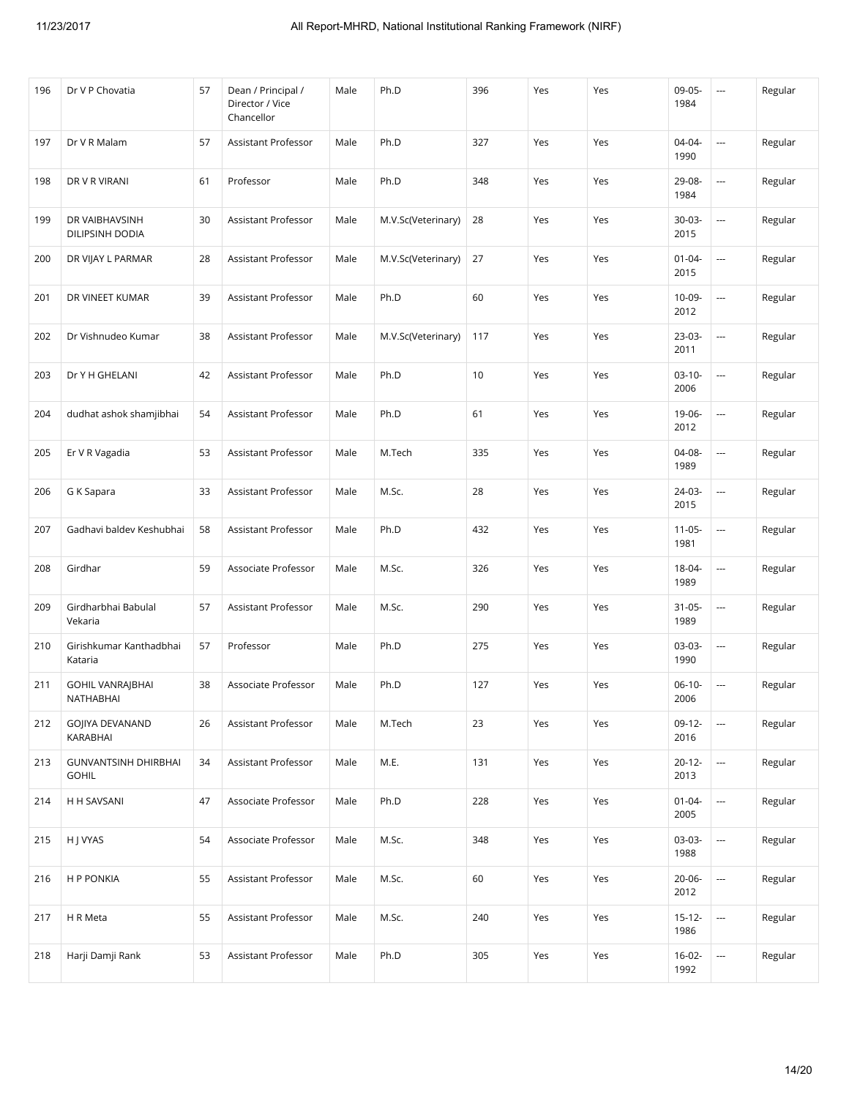| 196 | Dr V P Chovatia                             | 57 | Dean / Principal /<br>Director / Vice<br>Chancellor | Male | Ph.D               | 396 | Yes | Yes | 09-05-<br>1984      | $\sim$                   | Regular |
|-----|---------------------------------------------|----|-----------------------------------------------------|------|--------------------|-----|-----|-----|---------------------|--------------------------|---------|
| 197 | Dr V R Malam                                | 57 | Assistant Professor                                 | Male | Ph.D               | 327 | Yes | Yes | 04-04-<br>1990      | $\overline{\phantom{a}}$ | Regular |
| 198 | DR V R VIRANI                               | 61 | Professor                                           | Male | Ph.D               | 348 | Yes | Yes | 29-08-<br>1984      | $\overline{\phantom{a}}$ | Regular |
| 199 | DR VAIBHAVSINH<br>DILIPSINH DODIA           | 30 | Assistant Professor                                 | Male | M.V.Sc(Veterinary) | 28  | Yes | Yes | $30-03-$<br>2015    | $\overline{a}$           | Regular |
| 200 | DR VIJAY L PARMAR                           | 28 | Assistant Professor                                 | Male | M.V.Sc(Veterinary) | 27  | Yes | Yes | $01 - 04 -$<br>2015 | $\cdots$                 | Regular |
| 201 | DR VINEET KUMAR                             | 39 | Assistant Professor                                 | Male | Ph.D               | 60  | Yes | Yes | 10-09-<br>2012      | $\overline{a}$           | Regular |
| 202 | Dr Vishnudeo Kumar                          | 38 | Assistant Professor                                 | Male | M.V.Sc(Veterinary) | 117 | Yes | Yes | 23-03-<br>2011      | $\cdots$                 | Regular |
| 203 | Dr Y H GHELANI                              | 42 | Assistant Professor                                 | Male | Ph.D               | 10  | Yes | Yes | $03-10-$<br>2006    | $\cdots$                 | Regular |
| 204 | dudhat ashok shamjibhai                     | 54 | Assistant Professor                                 | Male | Ph.D               | 61  | Yes | Yes | 19-06-<br>2012      | $\cdots$                 | Regular |
| 205 | Er V R Vagadia                              | 53 | Assistant Professor                                 | Male | M.Tech             | 335 | Yes | Yes | 04-08-<br>1989      | $\overline{a}$           | Regular |
| 206 | G K Sapara                                  | 33 | Assistant Professor                                 | Male | M.Sc.              | 28  | Yes | Yes | 24-03-<br>2015      | $\overline{a}$           | Regular |
| 207 | Gadhavi baldev Keshubhai                    | 58 | Assistant Professor                                 | Male | Ph.D               | 432 | Yes | Yes | $11 - 05 -$<br>1981 | $\sim$                   | Regular |
| 208 | Girdhar                                     | 59 | Associate Professor                                 | Male | M.Sc.              | 326 | Yes | Yes | 18-04-<br>1989      | $\overline{\phantom{a}}$ | Regular |
| 209 | Girdharbhai Babulal<br>Vekaria              | 57 | Assistant Professor                                 | Male | M.Sc.              | 290 | Yes | Yes | $31 - 05 -$<br>1989 | $\overline{a}$           | Regular |
| 210 | Girishkumar Kanthadbhai<br>Kataria          | 57 | Professor                                           | Male | Ph.D               | 275 | Yes | Yes | 03-03-<br>1990      | $\sim$                   | Regular |
| 211 | <b>GOHIL VANRAJBHAI</b><br>NATHABHAI        | 38 | Associate Professor                                 | Male | Ph.D               | 127 | Yes | Yes | $06-10-$<br>2006    | $\overline{\phantom{a}}$ | Regular |
| 212 | GOJIYA DEVANAND<br>KARABHAI                 | 26 | Assistant Professor                                 | Male | M.Tech             | 23  | Yes | Yes | $09-12-$<br>2016    | $\overline{\phantom{a}}$ | Regular |
| 213 | <b>GUNVANTSINH DHIRBHAI</b><br><b>GOHIL</b> | 34 | Assistant Professor                                 | Male | M.E.               | 131 | Yes | Yes | $20 - 12 -$<br>2013 | $\hspace{0.05cm} \ldots$ | Regular |
| 214 | H H SAVSANI                                 | 47 | Associate Professor                                 | Male | Ph.D               | 228 | Yes | Yes | $01 - 04 -$<br>2005 | $\overline{\phantom{a}}$ | Regular |
| 215 | H J VYAS                                    | 54 | Associate Professor                                 | Male | M.Sc.              | 348 | Yes | Yes | 03-03-<br>1988      | $\overline{\phantom{a}}$ | Regular |
| 216 | <b>HP PONKIA</b>                            | 55 | Assistant Professor                                 | Male | M.Sc.              | 60  | Yes | Yes | $20 - 06 -$<br>2012 | $\overline{\phantom{a}}$ | Regular |
| 217 | H R Meta                                    | 55 | Assistant Professor                                 | Male | M.Sc.              | 240 | Yes | Yes | $15 - 12 -$<br>1986 | ---                      | Regular |
| 218 | Harji Damji Rank                            | 53 | Assistant Professor                                 | Male | Ph.D               | 305 | Yes | Yes | $16-02-$<br>1992    | $\overline{\phantom{a}}$ | Regular |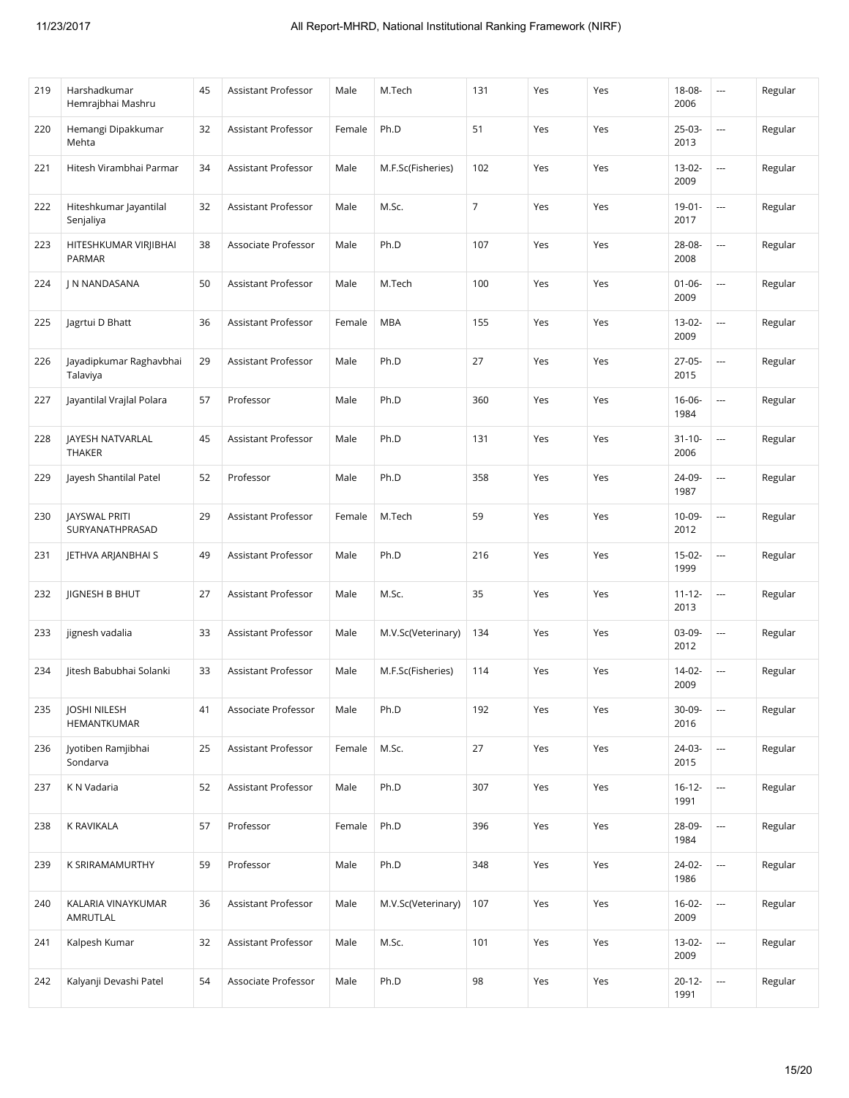| 219 | Harshadkumar<br>Hemrajbhai Mashru       | 45 | Assistant Professor        | Male   | M.Tech             | 131            | Yes | Yes | $18 - 08 -$<br>2006 | $\overline{\phantom{a}}$ | Regular |
|-----|-----------------------------------------|----|----------------------------|--------|--------------------|----------------|-----|-----|---------------------|--------------------------|---------|
| 220 | Hemangi Dipakkumar<br>Mehta             | 32 | Assistant Professor        | Female | Ph.D               | 51             | Yes | Yes | $25-03-$<br>2013    |                          | Regular |
| 221 | Hitesh Virambhai Parmar                 | 34 | Assistant Professor        | Male   | M.F.Sc(Fisheries)  | 102            | Yes | Yes | $13 - 02 -$<br>2009 | $\overline{\phantom{a}}$ | Regular |
| 222 | Hiteshkumar Jayantilal<br>Senjaliya     | 32 | Assistant Professor        | Male   | M.Sc.              | $\overline{7}$ | Yes | Yes | $19 - 01 -$<br>2017 | $\sim$                   | Regular |
| 223 | HITESHKUMAR VIRJIBHAI<br>PARMAR         | 38 | Associate Professor        | Male   | Ph.D               | 107            | Yes | Yes | 28-08-<br>2008      |                          | Regular |
| 224 | J N NANDASANA                           | 50 | Assistant Professor        | Male   | M.Tech             | 100            | Yes | Yes | $01 - 06 -$<br>2009 | $\ldots$                 | Regular |
| 225 | Jagrtui D Bhatt                         | 36 | Assistant Professor        | Female | <b>MBA</b>         | 155            | Yes | Yes | $13-02-$<br>2009    | ---                      | Regular |
| 226 | Jayadipkumar Raghavbhai<br>Talaviya     | 29 | Assistant Professor        | Male   | Ph.D               | 27             | Yes | Yes | $27-05-$<br>2015    |                          | Regular |
| 227 | Jayantilal Vrajlal Polara               | 57 | Professor                  | Male   | Ph.D               | 360            | Yes | Yes | $16 - 06 -$<br>1984 | $\ldots$                 | Regular |
| 228 | JAYESH NATVARLAL<br>THAKER              | 45 | <b>Assistant Professor</b> | Male   | Ph.D               | 131            | Yes | Yes | $31 - 10 -$<br>2006 | $\ldots$                 | Regular |
| 229 | Jayesh Shantilal Patel                  | 52 | Professor                  | Male   | Ph.D               | 358            | Yes | Yes | 24-09-<br>1987      |                          | Regular |
| 230 | <b>JAYSWAL PRITI</b><br>SURYANATHPRASAD | 29 | Assistant Professor        | Female | M.Tech             | 59             | Yes | Yes | 10-09-<br>2012      | ---                      | Regular |
| 231 | JETHVA ARJANBHAI S                      | 49 | Assistant Professor        | Male   | Ph.D               | 216            | Yes | Yes | $15-02-$<br>1999    | $\ldots$                 | Regular |
| 232 | <b>JIGNESH B BHUT</b>                   | 27 | Assistant Professor        | Male   | M.Sc.              | 35             | Yes | Yes | $11 - 12 -$<br>2013 | $\overline{\phantom{a}}$ | Regular |
| 233 | jignesh vadalia                         | 33 | Assistant Professor        | Male   | M.V.Sc(Veterinary) | 134            | Yes | Yes | 03-09-<br>2012      | $\overline{\phantom{a}}$ | Regular |
| 234 | Jitesh Babubhai Solanki                 | 33 | Assistant Professor        | Male   | M.F.Sc(Fisheries)  | 114            | Yes | Yes | $14 - 02 -$<br>2009 | $\sim$                   | Regular |
| 235 | JOSHI NILESH<br>HEMANTKUMAR             | 41 | Associate Professor        | Male   | Ph.D               | 192            | Yes | Yes | 30-09-<br>2016      | $\overline{\phantom{a}}$ | Regular |
| 236 | Jyotiben Ramjibhai<br>Sondarva          | 25 | Assistant Professor        | Female | M.Sc.              | 27             | Yes | Yes | 24-03-<br>2015      | $\overline{\phantom{a}}$ | Regular |
| 237 | K N Vadaria                             | 52 | Assistant Professor        | Male   | Ph.D               | 307            | Yes | Yes | $16 - 12 -$<br>1991 | $\hspace{0.05cm} \cdots$ | Regular |
| 238 | K RAVIKALA                              | 57 | Professor                  | Female | Ph.D               | 396            | Yes | Yes | 28-09-<br>1984      |                          | Regular |
| 239 | K SRIRAMAMURTHY                         | 59 | Professor                  | Male   | Ph.D               | 348            | Yes | Yes | 24-02-<br>1986      | $\overline{\phantom{a}}$ | Regular |
| 240 | KALARIA VINAYKUMAR<br>AMRUTLAL          | 36 | Assistant Professor        | Male   | M.V.Sc(Veterinary) | 107            | Yes | Yes | $16-02-$<br>2009    | $\hspace{0.05cm} \cdots$ | Regular |
| 241 | Kalpesh Kumar                           | 32 | Assistant Professor        | Male   | M.Sc.              | 101            | Yes | Yes | 13-02-<br>2009      | $\ldots$                 | Regular |
| 242 | Kalyanji Devashi Patel                  | 54 | Associate Professor        | Male   | Ph.D               | 98             | Yes | Yes | $20 - 12 -$<br>1991 | $\ldots$                 | Regular |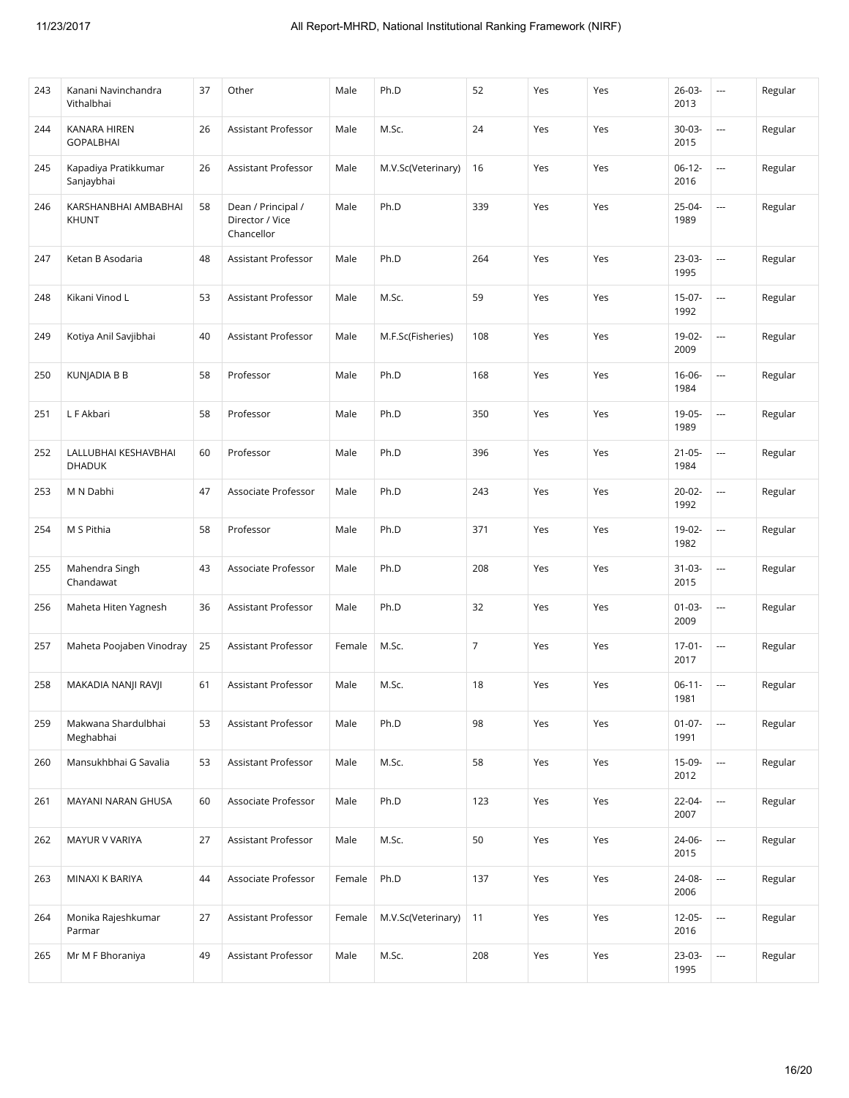| 243 | Kanani Navinchandra<br>Vithalbhai     | 37 | Other                                               | Male   | Ph.D               | 52             | Yes | Yes | $26 - 03 -$<br>2013 | $\cdots$                 | Regular |
|-----|---------------------------------------|----|-----------------------------------------------------|--------|--------------------|----------------|-----|-----|---------------------|--------------------------|---------|
| 244 | KANARA HIREN<br><b>GOPALBHAI</b>      | 26 | Assistant Professor                                 | Male   | M.Sc.              | 24             | Yes | Yes | 30-03-<br>2015      |                          | Regular |
| 245 | Kapadiya Pratikkumar<br>Sanjaybhai    | 26 | Assistant Professor                                 | Male   | M.V.Sc(Veterinary) | 16             | Yes | Yes | $06-12-$<br>2016    |                          | Regular |
| 246 | KARSHANBHAI AMBABHAI<br><b>KHUNT</b>  | 58 | Dean / Principal /<br>Director / Vice<br>Chancellor | Male   | Ph.D               | 339            | Yes | Yes | 25-04-<br>1989      |                          | Regular |
| 247 | Ketan B Asodaria                      | 48 | Assistant Professor                                 | Male   | Ph.D               | 264            | Yes | Yes | $23-03-$<br>1995    | i.                       | Regular |
| 248 | Kikani Vinod L                        | 53 | Assistant Professor                                 | Male   | M.Sc.              | 59             | Yes | Yes | 15-07-<br>1992      | $\overline{\phantom{a}}$ | Regular |
| 249 | Kotiya Anil Savjibhai                 | 40 | Assistant Professor                                 | Male   | M.F.Sc(Fisheries)  | 108            | Yes | Yes | 19-02-<br>2009      | $\overline{\phantom{a}}$ | Regular |
| 250 | <b>KUNJADIA B B</b>                   | 58 | Professor                                           | Male   | Ph.D               | 168            | Yes | Yes | 16-06-<br>1984      |                          | Regular |
| 251 | L F Akbari                            | 58 | Professor                                           | Male   | Ph.D               | 350            | Yes | Yes | 19-05-<br>1989      | $\overline{\phantom{a}}$ | Regular |
| 252 | LALLUBHAI KESHAVBHAI<br><b>DHADUK</b> | 60 | Professor                                           | Male   | Ph.D               | 396            | Yes | Yes | $21 - 05 -$<br>1984 | $\overline{\phantom{a}}$ | Regular |
| 253 | M N Dabhi                             | 47 | Associate Professor                                 | Male   | Ph.D               | 243            | Yes | Yes | $20 - 02 -$<br>1992 | i.                       | Regular |
| 254 | M S Pithia                            | 58 | Professor                                           | Male   | Ph.D               | 371            | Yes | Yes | 19-02-<br>1982      |                          | Regular |
| 255 | Mahendra Singh<br>Chandawat           | 43 | Associate Professor                                 | Male   | Ph.D               | 208            | Yes | Yes | $31 - 03 -$<br>2015 | $\overline{\phantom{a}}$ | Regular |
| 256 | Maheta Hiten Yagnesh                  | 36 | Assistant Professor                                 | Male   | Ph.D               | 32             | Yes | Yes | $01 - 03 -$<br>2009 |                          | Regular |
| 257 | Maheta Poojaben Vinodray              | 25 | Assistant Professor                                 | Female | M.Sc.              | $\overline{7}$ | Yes | Yes | $17-01-$<br>2017    |                          | Regular |
| 258 | MAKADIA NANJI RAVJI                   | 61 | Assistant Professor                                 | Male   | M.Sc.              | 18             | Yes | Yes | $06-11-$<br>1981    | $\overline{\phantom{a}}$ | Regular |
| 259 | Makwana Shardulbhai<br>Meghabhai      | 53 | Assistant Professor                                 | Male   | Ph.D               | 98             | Yes | Yes | $01 - 07 -$<br>1991 |                          | Regular |
| 260 | Mansukhbhai G Savalia                 | 53 | Assistant Professor                                 | Male   | M.Sc.              | 58             | Yes | Yes | 15-09-<br>2012      | $\overline{a}$           | Regular |
| 261 | MAYANI NARAN GHUSA                    | 60 | Associate Professor                                 | Male   | Ph.D               | 123            | Yes | Yes | 22-04-<br>2007      |                          | Regular |
| 262 | MAYUR V VARIYA                        | 27 | Assistant Professor                                 | Male   | M.Sc.              | 50             | Yes | Yes | 24-06-<br>2015      |                          | Regular |
| 263 | MINAXI K BARIYA                       | 44 | Associate Professor                                 | Female | Ph.D               | 137            | Yes | Yes | 24-08-<br>2006      |                          | Regular |
| 264 | Monika Rajeshkumar<br>Parmar          | 27 | Assistant Professor                                 | Female | M.V.Sc(Veterinary) | 11             | Yes | Yes | $12 - 05 -$<br>2016 |                          | Regular |
| 265 | Mr M F Bhoraniya                      | 49 | Assistant Professor                                 | Male   | M.Sc.              | 208            | Yes | Yes | 23-03-<br>1995      | ---                      | Regular |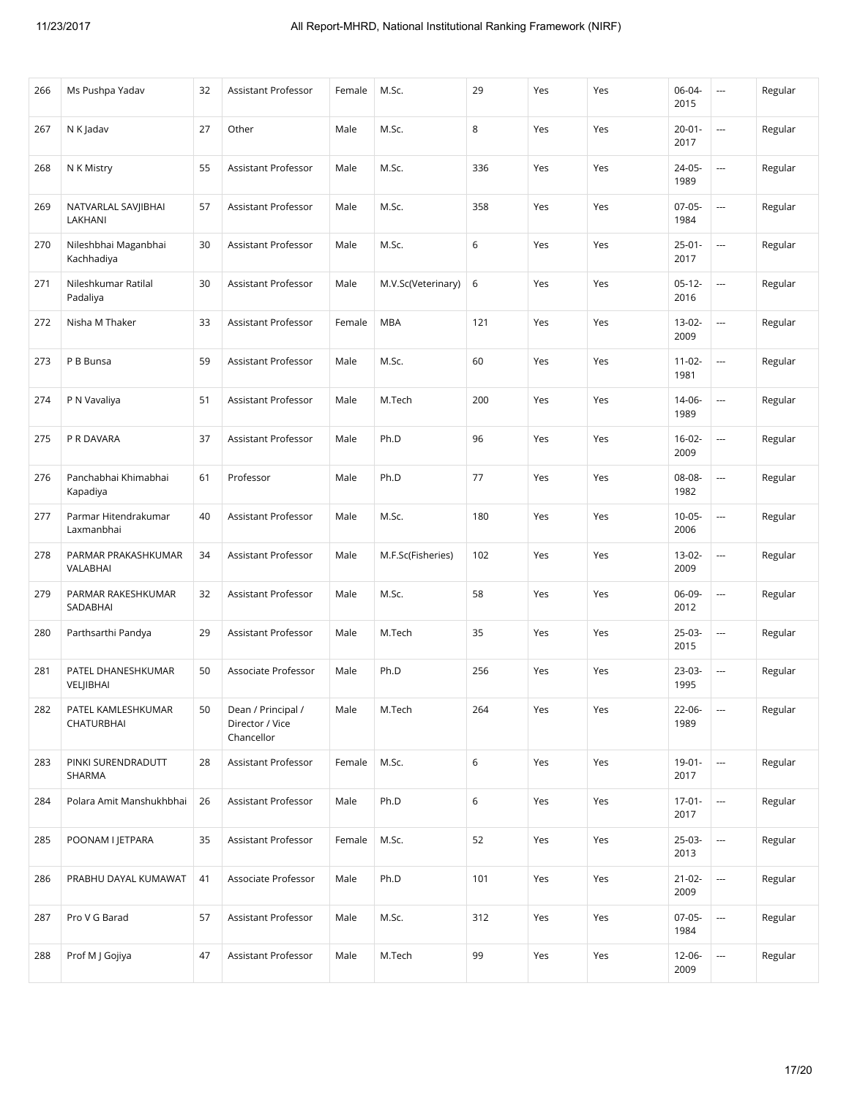| 266 | Ms Pushpa Yadav                    | 32 | Assistant Professor                                 | Female | M.Sc.              | 29  | Yes | Yes | 06-04-<br>2015      | ---                      | Regular |
|-----|------------------------------------|----|-----------------------------------------------------|--------|--------------------|-----|-----|-----|---------------------|--------------------------|---------|
| 267 | N K Jadav                          | 27 | Other                                               | Male   | M.Sc.              | 8   | Yes | Yes | $20 - 01 -$<br>2017 | ---                      | Regular |
| 268 | N K Mistry                         | 55 | Assistant Professor                                 | Male   | M.Sc.              | 336 | Yes | Yes | 24-05-<br>1989      | $\overline{\phantom{a}}$ | Regular |
| 269 | NATVARLAL SAVJIBHAI<br>LAKHANI     | 57 | Assistant Professor                                 | Male   | M.Sc.              | 358 | Yes | Yes | $07-05-$<br>1984    | $\ldots$                 | Regular |
| 270 | Nileshbhai Maganbhai<br>Kachhadiya | 30 | Assistant Professor                                 | Male   | M.Sc.              | 6   | Yes | Yes | $25 - 01 -$<br>2017 |                          | Regular |
| 271 | Nileshkumar Ratilal<br>Padaliya    | 30 | Assistant Professor                                 | Male   | M.V.Sc(Veterinary) | 6   | Yes | Yes | $05-12-$<br>2016    | ---                      | Regular |
| 272 | Nisha M Thaker                     | 33 | Assistant Professor                                 | Female | <b>MBA</b>         | 121 | Yes | Yes | $13-02-$<br>2009    | $\overline{\phantom{a}}$ | Regular |
| 273 | P B Bunsa                          | 59 | Assistant Professor                                 | Male   | M.Sc.              | 60  | Yes | Yes | $11 - 02 -$<br>1981 |                          | Regular |
| 274 | P N Vavaliya                       | 51 | <b>Assistant Professor</b>                          | Male   | M.Tech             | 200 | Yes | Yes | 14-06-<br>1989      | $\overline{a}$           | Regular |
| 275 | P R DAVARA                         | 37 | Assistant Professor                                 | Male   | Ph.D               | 96  | Yes | Yes | $16 - 02 -$<br>2009 | $\overline{\phantom{a}}$ | Regular |
| 276 | Panchabhai Khimabhai<br>Kapadiya   | 61 | Professor                                           | Male   | Ph.D               | 77  | Yes | Yes | 08-08-<br>1982      |                          | Regular |
| 277 | Parmar Hitendrakumar<br>Laxmanbhai | 40 | Assistant Professor                                 | Male   | M.Sc.              | 180 | Yes | Yes | $10 - 05 -$<br>2006 |                          | Regular |
| 278 | PARMAR PRAKASHKUMAR<br>VALABHAI    | 34 | Assistant Professor                                 | Male   | M.F.Sc(Fisheries)  | 102 | Yes | Yes | $13 - 02 -$<br>2009 | $\ldots$                 | Regular |
| 279 | PARMAR RAKESHKUMAR<br>SADABHAI     | 32 | Assistant Professor                                 | Male   | M.Sc.              | 58  | Yes | Yes | 06-09-<br>2012      | ---                      | Regular |
| 280 | Parthsarthi Pandya                 | 29 | Assistant Professor                                 | Male   | M.Tech             | 35  | Yes | Yes | $25-03-$<br>2015    | $\overline{\phantom{a}}$ | Regular |
| 281 | PATEL DHANESHKUMAR<br>VELJIBHAI    | 50 | Associate Professor                                 | Male   | Ph.D               | 256 | Yes | Yes | 23-03-<br>1995      | $\overline{\phantom{a}}$ | Regular |
| 282 | PATEL KAMLESHKUMAR<br>CHATURBHAI   | 50 | Dean / Principal /<br>Director / Vice<br>Chancellor | Male   | M.Tech             | 264 | Yes | Yes | 22-06-<br>1989      | $\overline{\phantom{a}}$ | Regular |
| 283 | PINKI SURENDRADUTT<br>SHARMA       | 28 | Assistant Professor                                 | Female | M.Sc.              | 6   | Yes | Yes | $19-01-$<br>2017    | $\cdots$                 | Regular |
| 284 | Polara Amit Manshukhbhai           | 26 | Assistant Professor                                 | Male   | Ph.D               | 6   | Yes | Yes | $17 - 01 -$<br>2017 | $\ldots$                 | Regular |
| 285 | POONAM I JETPARA                   | 35 | Assistant Professor                                 | Female | M.Sc.              | 52  | Yes | Yes | 25-03-<br>2013      | $\ldots$                 | Regular |
| 286 | PRABHU DAYAL KUMAWAT               | 41 | Associate Professor                                 | Male   | Ph.D               | 101 | Yes | Yes | $21 - 02 -$<br>2009 | $\hspace{0.05cm} \cdots$ | Regular |
| 287 | Pro V G Barad                      | 57 | Assistant Professor                                 | Male   | M.Sc.              | 312 | Yes | Yes | $07-05-$<br>1984    | $\ldots$                 | Regular |
| 288 | Prof M J Gojiya                    | 47 | Assistant Professor                                 | Male   | M.Tech             | 99  | Yes | Yes | 12-06-<br>2009      | $\hspace{0.05cm} \cdots$ | Regular |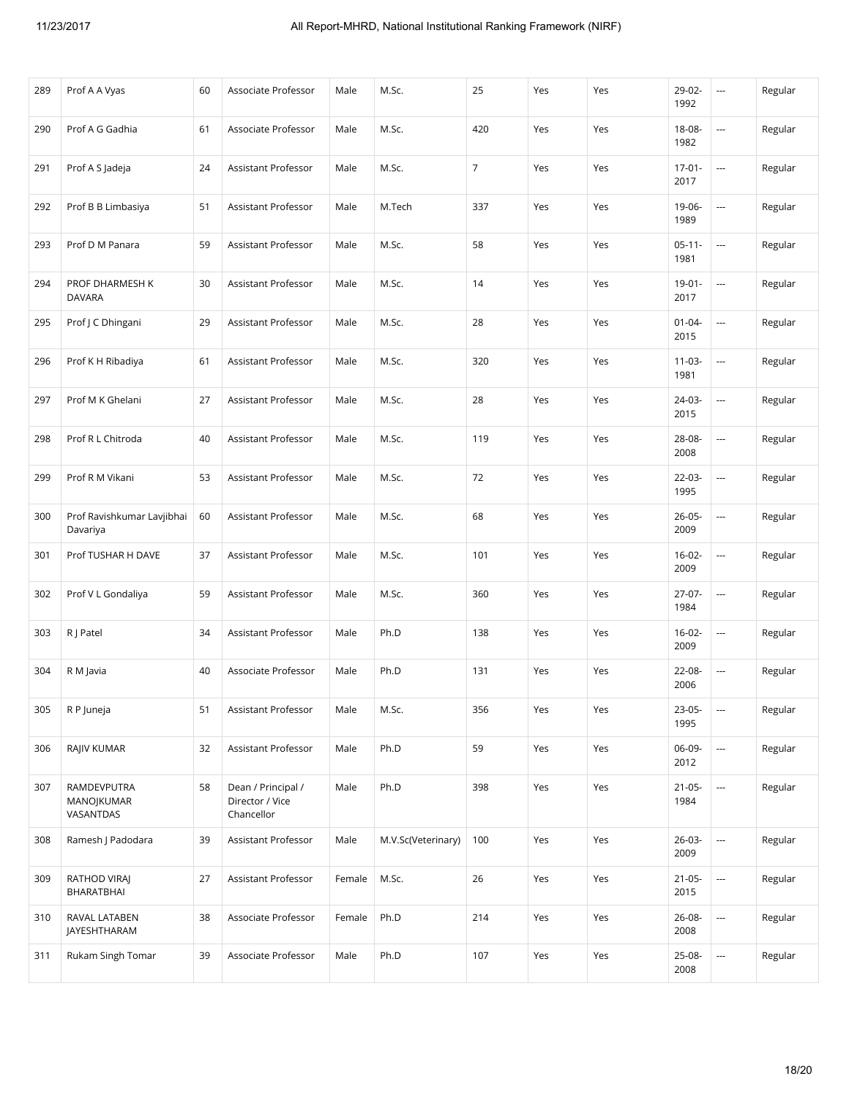| 289 | Prof A A Vyas                          | 60 | Associate Professor                                 | Male   | M.Sc.              | 25               | Yes | Yes | 29-02-<br>1992      | ---                      | Regular |
|-----|----------------------------------------|----|-----------------------------------------------------|--------|--------------------|------------------|-----|-----|---------------------|--------------------------|---------|
| 290 | Prof A G Gadhia                        | 61 | Associate Professor                                 | Male   | M.Sc.              | 420              | Yes | Yes | 18-08-<br>1982      |                          | Regular |
| 291 | Prof A S Jadeja                        | 24 | <b>Assistant Professor</b>                          | Male   | M.Sc.              | $\boldsymbol{7}$ | Yes | Yes | $17-01-$<br>2017    | $\ldots$                 | Regular |
| 292 | Prof B B Limbasiya                     | 51 | Assistant Professor                                 | Male   | M.Tech             | 337              | Yes | Yes | 19-06-<br>1989      | $\ldots$                 | Regular |
| 293 | Prof D M Panara                        | 59 | Assistant Professor                                 | Male   | M.Sc.              | 58               | Yes | Yes | $05 - 11 -$<br>1981 | $\overline{\phantom{a}}$ | Regular |
| 294 | PROF DHARMESH K<br><b>DAVARA</b>       | 30 | Assistant Professor                                 | Male   | M.Sc.              | 14               | Yes | Yes | $19 - 01 -$<br>2017 | $\ldots$                 | Regular |
| 295 | Prof J C Dhingani                      | 29 | Assistant Professor                                 | Male   | M.Sc.              | 28               | Yes | Yes | $01 - 04 -$<br>2015 | $\overline{\phantom{a}}$ | Regular |
| 296 | Prof K H Ribadiya                      | 61 | Assistant Professor                                 | Male   | M.Sc.              | 320              | Yes | Yes | $11-03-$<br>1981    | $\overline{\phantom{a}}$ | Regular |
| 297 | Prof M K Ghelani                       | 27 | Assistant Professor                                 | Male   | M.Sc.              | 28               | Yes | Yes | 24-03-<br>2015      |                          | Regular |
| 298 | Prof R L Chitroda                      | 40 | <b>Assistant Professor</b>                          | Male   | M.Sc.              | 119              | Yes | Yes | 28-08-<br>2008      | $\ldots$                 | Regular |
| 299 | Prof R M Vikani                        | 53 | <b>Assistant Professor</b>                          | Male   | M.Sc.              | 72               | Yes | Yes | 22-03-<br>1995      | $\overline{\phantom{a}}$ | Regular |
| 300 | Prof Ravishkumar Lavjibhai<br>Davariya | 60 | Assistant Professor                                 | Male   | M.Sc.              | 68               | Yes | Yes | $26 - 05 -$<br>2009 |                          | Regular |
| 301 | Prof TUSHAR H DAVE                     | 37 | Assistant Professor                                 | Male   | M.Sc.              | 101              | Yes | Yes | $16 - 02 -$<br>2009 | $\ldots$                 | Regular |
| 302 | Prof V L Gondaliya                     | 59 | Assistant Professor                                 | Male   | M.Sc.              | 360              | Yes | Yes | 27-07-<br>1984      | ---                      | Regular |
| 303 | R J Patel                              | 34 | Assistant Professor                                 | Male   | Ph.D               | 138              | Yes | Yes | $16 - 02 -$<br>2009 | $\ldots$                 | Regular |
| 304 | R M Javia                              | 40 | Associate Professor                                 | Male   | Ph.D               | 131              | Yes | Yes | 22-08-<br>2006      | $\overline{\phantom{a}}$ | Regular |
| 305 | R P Juneja                             | 51 | Assistant Professor                                 | Male   | M.Sc.              | 356              | Yes | Yes | $23-05-$<br>1995    | $\overline{\phantom{a}}$ | Regular |
| 306 | RAJIV KUMAR                            | 32 | Assistant Professor                                 | Male   | Ph.D               | 59               | Yes | Yes | 06-09-<br>2012      | $\overline{\phantom{a}}$ | Regular |
| 307 | RAMDEVPUTRA<br>MANOJKUMAR<br>VASANTDAS | 58 | Dean / Principal /<br>Director / Vice<br>Chancellor | Male   | Ph.D               | 398              | Yes | Yes | $21 - 05 -$<br>1984 | $\ldots$                 | Regular |
| 308 | Ramesh J Padodara                      | 39 | Assistant Professor                                 | Male   | M.V.Sc(Veterinary) | 100              | Yes | Yes | $26 - 03 -$<br>2009 | $\overline{\phantom{a}}$ | Regular |
| 309 | RATHOD VIRAJ<br>BHARATBHAI             | 27 | Assistant Professor                                 | Female | M.Sc.              | 26               | Yes | Yes | $21 - 05 -$<br>2015 | $\hspace{0.05cm} \ldots$ | Regular |
| 310 | RAVAL LATABEN<br>JAYESHTHARAM          | 38 | Associate Professor                                 | Female | Ph.D               | 214              | Yes | Yes | 26-08-<br>2008      | $\ldots$                 | Regular |
| 311 | Rukam Singh Tomar                      | 39 | Associate Professor                                 | Male   | Ph.D               | 107              | Yes | Yes | 25-08-<br>2008      | $\ldots$                 | Regular |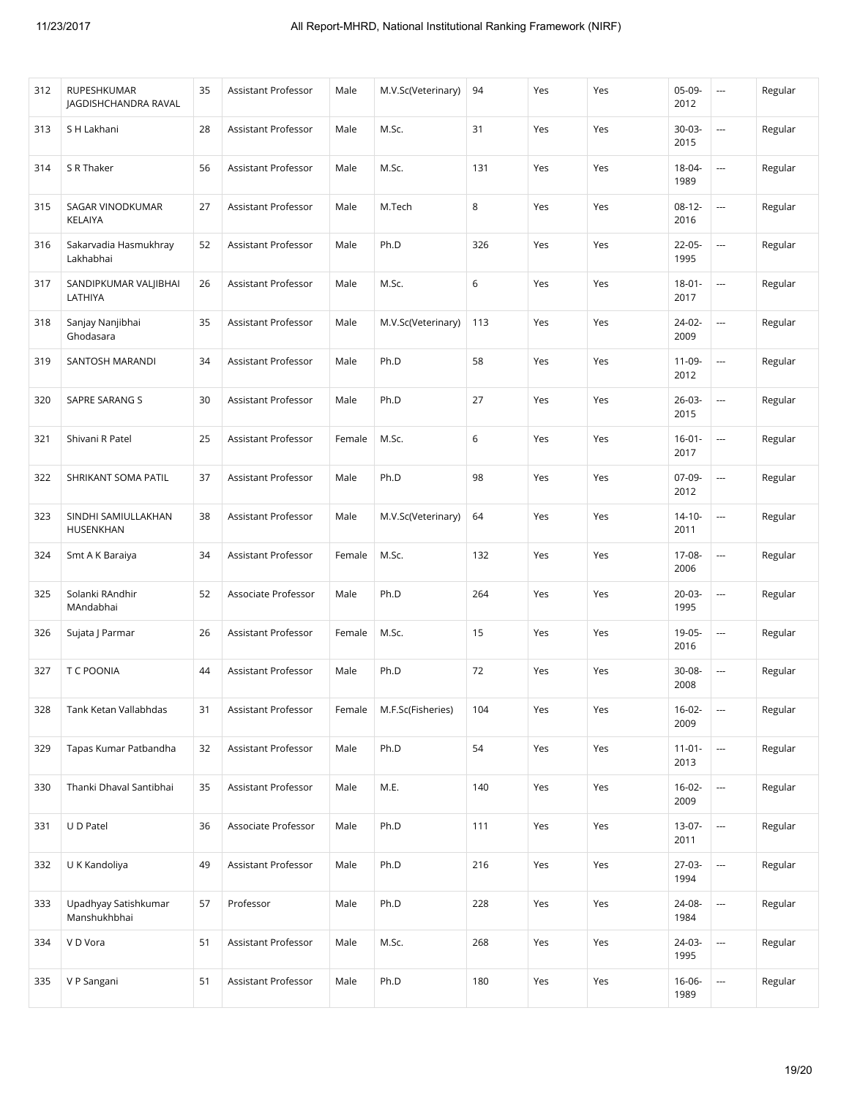| 312 | <b>RUPESHKUMAR</b><br>JAGDISHCHANDRA RAVAL | 35 | Assistant Professor        | Male   | M.V.Sc(Veterinary) | 94    | Yes | Yes | 05-09-<br>2012      | $\cdots$                 | Regular |
|-----|--------------------------------------------|----|----------------------------|--------|--------------------|-------|-----|-----|---------------------|--------------------------|---------|
| 313 | S H Lakhani                                | 28 | Assistant Professor        | Male   | M.Sc.              | 31    | Yes | Yes | 30-03-<br>2015      | $\overline{\phantom{a}}$ | Regular |
| 314 | S R Thaker                                 | 56 | Assistant Professor        | Male   | M.Sc.              | 131   | Yes | Yes | 18-04-<br>1989      | $\overline{\phantom{a}}$ | Regular |
| 315 | SAGAR VINODKUMAR<br>KELAIYA                | 27 | Assistant Professor        | Male   | M.Tech             | 8     | Yes | Yes | $08-12-$<br>2016    | $\ldots$                 | Regular |
| 316 | Sakarvadia Hasmukhray<br>Lakhabhai         | 52 | Assistant Professor        | Male   | Ph.D               | 326   | Yes | Yes | 22-05-<br>1995      | $\overline{\phantom{a}}$ | Regular |
| 317 | SANDIPKUMAR VALJIBHAI<br>LATHIYA           | 26 | Assistant Professor        | Male   | M.Sc.              | $6\,$ | Yes | Yes | $18 - 01 -$<br>2017 | $\ldots$                 | Regular |
| 318 | Sanjay Nanjibhai<br>Ghodasara              | 35 | Assistant Professor        | Male   | M.V.Sc(Veterinary) | 113   | Yes | Yes | 24-02-<br>2009      | $\ldots$                 | Regular |
| 319 | SANTOSH MARANDI                            | 34 | Assistant Professor        | Male   | Ph.D               | 58    | Yes | Yes | 11-09-<br>2012      | ---                      | Regular |
| 320 | SAPRE SARANG S                             | 30 | Assistant Professor        | Male   | Ph.D               | 27    | Yes | Yes | $26 - 03 -$<br>2015 |                          | Regular |
| 321 | Shivani R Patel                            | 25 | Assistant Professor        | Female | M.Sc.              | $6\,$ | Yes | Yes | $16 - 01 -$<br>2017 | $\ldots$                 | Regular |
| 322 | SHRIKANT SOMA PATIL                        | 37 | Assistant Professor        | Male   | Ph.D               | 98    | Yes | Yes | 07-09-<br>2012      | $\overline{\phantom{a}}$ | Regular |
| 323 | SINDHI SAMIULLAKHAN<br>HUSENKHAN           | 38 | Assistant Professor        | Male   | M.V.Sc(Veterinary) | 64    | Yes | Yes | $14-10-$<br>2011    | $\ldots$                 | Regular |
| 324 | Smt A K Baraiya                            | 34 | Assistant Professor        | Female | M.Sc.              | 132   | Yes | Yes | 17-08-<br>2006      | $\ldots$                 | Regular |
| 325 | Solanki RAndhir<br>MAndabhai               | 52 | Associate Professor        | Male   | Ph.D               | 264   | Yes | Yes | 20-03-<br>1995      | $\sim$                   | Regular |
| 326 | Sujata J Parmar                            | 26 | Assistant Professor        | Female | M.Sc.              | 15    | Yes | Yes | 19-05-<br>2016      | $\ldots$                 | Regular |
| 327 | T C POONIA                                 | 44 | Assistant Professor        | Male   | Ph.D               | 72    | Yes | Yes | 30-08-<br>2008      | $\sim$                   | Regular |
| 328 | Tank Ketan Vallabhdas                      | 31 | <b>Assistant Professor</b> | Female | M.F.Sc(Fisheries)  | 104   | Yes | Yes | $16-02-$<br>2009    | $\ldots$                 | Regular |
| 329 | Tapas Kumar Patbandha                      | 32 | Assistant Professor        | Male   | Ph.D               | 54    | Yes | Yes | $11-01-$<br>2013    | $\overline{\phantom{a}}$ | Regular |
| 330 | Thanki Dhaval Santibhai                    | 35 | Assistant Professor        | Male   | M.E.               | 140   | Yes | Yes | $16-02-$<br>2009    | $\ldots$                 | Regular |
| 331 | U D Patel                                  | 36 | Associate Professor        | Male   | Ph.D               | 111   | Yes | Yes | 13-07-<br>2011      | $\hspace{0.05cm} \cdots$ | Regular |
| 332 | U K Kandoliya                              | 49 | Assistant Professor        | Male   | Ph.D               | 216   | Yes | Yes | $27-03-$<br>1994    | $\overline{\phantom{a}}$ | Regular |
| 333 | Upadhyay Satishkumar<br>Manshukhbhai       | 57 | Professor                  | Male   | Ph.D               | 228   | Yes | Yes | 24-08-<br>1984      | $\overline{\phantom{a}}$ | Regular |
| 334 | V D Vora                                   | 51 | Assistant Professor        | Male   | M.Sc.              | 268   | Yes | Yes | 24-03-<br>1995      | $\ldots$                 | Regular |
| 335 | V P Sangani                                | 51 | Assistant Professor        | Male   | Ph.D               | 180   | Yes | Yes | $16 - 06 -$<br>1989 | $\ldots$                 | Regular |